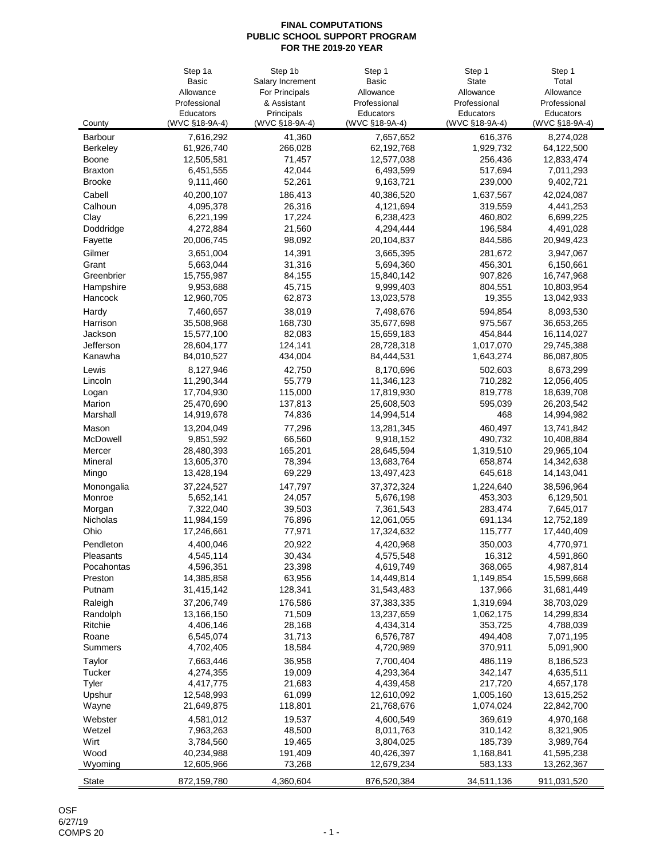|                 | Step 1a        | Step 1b           | Step 1         | Step 1         | Step 1         |
|-----------------|----------------|-------------------|----------------|----------------|----------------|
|                 | <b>Basic</b>   | Salary Increment  | <b>Basic</b>   | <b>State</b>   | Total          |
|                 | Allowance      | For Principals    | Allowance      | Allowance      | Allowance      |
|                 | Professional   | & Assistant       | Professional   | Professional   | Professional   |
|                 | Educators      | Principals        | Educators      | Educators      | Educators      |
| County          | (WVC §18-9A-4) | (WVC §18-9A-4)    | (WVC §18-9A-4) | (WVC §18-9A-4) | (WVC §18-9A-4) |
| <b>Barbour</b>  | 7,616,292      | 41,360            | 7,657,652      | 616,376        | 8,274,028      |
| <b>Berkeley</b> | 61,926,740     | 266,028           | 62,192,768     | 1,929,732      | 64,122,500     |
| <b>Boone</b>    | 12,505,581     | 71,457            | 12,577,038     | 256,436        | 12,833,474     |
| <b>Braxton</b>  | 6,451,555      | 42,044            | 6,493,599      | 517,694        | 7,011,293      |
| <b>Brooke</b>   | 9,111,460      | 52,261            | 9,163,721      | 239,000        | 9,402,721      |
| Cabell          | 40,200,107     | 186,413           | 40,386,520     | 1,637,567      | 42,024,087     |
| Calhoun         | 4,095,378      | 26,316            | 4,121,694      | 319,559        | 4,441,253      |
| Clay            | 6,221,199      | 17,224            | 6,238,423      | 460,802        | 6,699,225      |
| Doddridge       | 4,272,884      | 21,560            | 4,294,444      | 196,584        | 4,491,028      |
| Fayette         | 20,006,745     | 98,092            | 20,104,837     | 844,586        | 20,949,423     |
| Gilmer          | 3,651,004      | 14,391            | 3,665,395      | 281,672        | 3,947,067      |
| Grant           | 5,663,044      | 31,316            | 5,694,360      | 456,301        | 6,150,661      |
| Greenbrier      | 15,755,987     | 84,155            | 15,840,142     | 907,826        | 16,747,968     |
| Hampshire       | 9,953,688      | 45,715            | 9,999,403      | 804,551        | 10,803,954     |
| Hancock         | 12,960,705     | 62,873            | 13,023,578     | 19,355         | 13,042,933     |
| Hardy           | 7,460,657      | 38,019            | 7,498,676      | 594,854        | 8,093,530      |
| Harrison        | 35,508,968     | 168,730           | 35,677,698     | 975,567        | 36,653,265     |
| Jackson         | 15,577,100     | 82,083            | 15,659,183     | 454,844        | 16,114,027     |
| Jefferson       | 28,604,177     | 124,141           | 28,728,318     | 1,017,070      | 29,745,388     |
| Kanawha         | 84,010,527     | 434,004           | 84,444,531     | 1,643,274      | 86,087,805     |
|                 |                |                   |                |                |                |
| Lewis           | 8,127,946      | 42,750            | 8,170,696      | 502,603        | 8,673,299      |
| Lincoln         | 11,290,344     | 55,779            | 11,346,123     | 710,282        | 12,056,405     |
| Logan           | 17,704,930     | 115,000           | 17,819,930     | 819,778        | 18,639,708     |
| Marion          | 25,470,690     | 137,813           | 25,608,503     | 595,039        | 26,203,542     |
| Marshall        | 14,919,678     | 74,836            | 14,994,514     | 468            | 14,994,982     |
| Mason           | 13,204,049     | 77,296            | 13,281,345     | 460,497        | 13,741,842     |
| McDowell        | 9,851,592      | 66,560            | 9,918,152      | 490,732        | 10,408,884     |
| Mercer          | 28,480,393     | 165,201           | 28,645,594     | 1,319,510      | 29,965,104     |
| Mineral         | 13,605,370     | 78,394            | 13,683,764     | 658,874        | 14,342,638     |
| Mingo           | 13,428,194     | 69,229            | 13,497,423     | 645,618        | 14,143,041     |
| Monongalia      | 37,224,527     | 147,797           | 37, 372, 324   | 1,224,640      | 38,596,964     |
| Monroe          | 5,652,141      | 24,057            | 5,676,198      | 453,303        | 6,129,501      |
| Morgan          | 7,322,040      | 39,503            | 7,361,543      | 283,474        | 7,645,017      |
| Nicholas        | 11,984,159     | 76,896            | 12,061,055     | 691,134        | 12,752,189     |
| Ohio            | 17,246,661     | 77,971            | 17,324,632     | 115,777        | 17,440,409     |
| Pendleton       | 4,400,046      | 20,922            | 4,420,968      | 350,003        | 4,770,971      |
| Pleasants       | 4,545,114      | 30,434            | 4,575,548      | 16,312         | 4,591,860      |
| Pocahontas      | 4,596,351      | 23,398            | 4,619,749      | 368,065        | 4,987,814      |
| Preston         | 14,385,858     | 63,956            | 14,449,814     | 1,149,854      | 15,599,668     |
| Putnam          | 31,415,142     | 128,341           | 31,543,483     | 137,966        | 31,681,449     |
| Raleigh         | 37,206,749     | 176,586           | 37,383,335     | 1,319,694      | 38,703,029     |
| Randolph        | 13,166,150     | 71,509            | 13,237,659     | 1,062,175      | 14,299,834     |
| Ritchie         | 4,406,146      | 28,168            | 4,434,314      | 353,725        | 4,788,039      |
| Roane           | 6,545,074      | 31,713            | 6,576,787      | 494,408        | 7,071,195      |
| <b>Summers</b>  | 4,702,405      | 18,584            | 4,720,989      | 370,911        | 5,091,900      |
| Taylor          | 7,663,446      | 36,958            | 7,700,404      | 486,119        | 8,186,523      |
| <b>Tucker</b>   | 4,274,355      | 19,009            | 4,293,364      | 342,147        | 4,635,511      |
| <b>Tyler</b>    | 4,417,775      | 21,683            | 4,439,458      | 217,720        | 4,657,178      |
| Upshur          | 12,548,993     | 61,099            | 12,610,092     | 1,005,160      | 13,615,252     |
| Wayne           | 21,649,875     | 118,801           | 21,768,676     | 1,074,024      | 22,842,700     |
|                 |                |                   |                |                |                |
| Webster         | 4,581,012      | 19,537            | 4,600,549      | 369,619        | 4,970,168      |
| Wetzel          | 7,963,263      | 48,500            | 8,011,763      | 310,142        | 8,321,905      |
| Wirt            | 3,784,560      | 19,465            | 3,804,025      | 185,739        | 3,989,764      |
| Wood            | 40,234,988     | 191,409<br>73,268 | 40,426,397     | 1,168,841      | 41,595,238     |
| Wyoming         | 12,605,966     |                   | 12,679,234     | 583,133        | 13,262,367     |
| <b>State</b>    | 872,159,780    | 4,360,604         | 876,520,384    | 34,511,136     | 911,031,520    |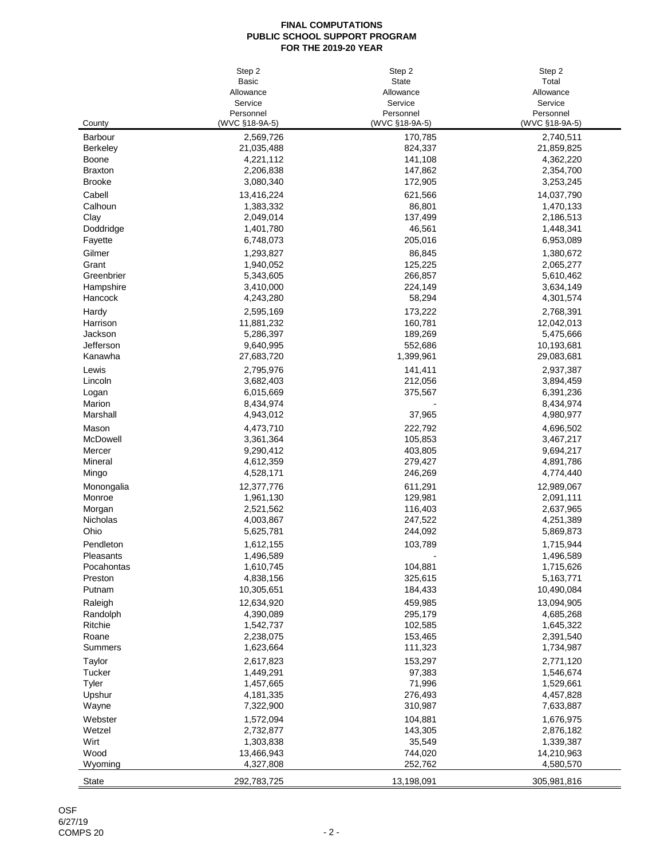|                         | Step 2                 | Step 2             | Step 2                 |
|-------------------------|------------------------|--------------------|------------------------|
|                         | <b>Basic</b>           | <b>State</b>       | Total                  |
|                         | Allowance              | Allowance          | Allowance              |
|                         | Service                | Service            | Service                |
|                         | Personnel              | Personnel          | Personnel              |
| County                  | (WVC §18-9A-5)         | (WVC §18-9A-5)     | (WVC §18-9A-5)         |
| <b>Barbour</b>          | 2,569,726              | 170,785            | 2,740,511              |
| <b>Berkeley</b>         | 21,035,488             | 824,337            | 21,859,825             |
| <b>Boone</b>            | 4,221,112              | 141,108            | 4,362,220              |
| <b>Braxton</b>          | 2,206,838              | 147,862            | 2,354,700              |
| <b>Brooke</b>           | 3,080,340              | 172,905            | 3,253,245              |
| Cabell                  | 13,416,224             | 621,566            | 14,037,790             |
| Calhoun                 | 1,383,332              | 86,801             | 1,470,133              |
| Clay                    | 2,049,014              | 137,499            | 2,186,513              |
| Doddridge               | 1,401,780              | 46,561             | 1,448,341              |
| Fayette                 | 6,748,073              | 205,016            | 6,953,089              |
| Gilmer                  | 1,293,827              | 86,845             | 1,380,672              |
| Grant                   | 1,940,052              | 125,225            | 2,065,277              |
| Greenbrier              | 5,343,605              | 266,857            | 5,610,462              |
| Hampshire               | 3,410,000              | 224,149            | 3,634,149              |
| Hancock                 | 4,243,280              | 58,294             | 4,301,574              |
| Hardy                   | 2,595,169              | 173,222            | 2,768,391              |
| Harrison                | 11,881,232             | 160,781            | 12,042,013             |
| Jackson                 | 5,286,397              | 189,269            | 5,475,666              |
| Jefferson               | 9,640,995              | 552,686            | 10,193,681             |
| Kanawha                 | 27,683,720             | 1,399,961          | 29,083,681             |
| Lewis                   | 2,795,976              | 141,411            | 2,937,387              |
| Lincoln                 | 3,682,403              | 212,056            | 3,894,459              |
| Logan                   | 6,015,669              | 375,567            | 6,391,236              |
| Marion                  | 8,434,974              |                    | 8,434,974              |
| Marshall                | 4,943,012              | 37,965             | 4,980,977              |
| Mason                   | 4,473,710              | 222,792            | 4,696,502              |
| McDowell                | 3,361,364              | 105,853            | 3,467,217              |
| Mercer                  | 9,290,412              | 403,805            | 9,694,217              |
| Mineral                 | 4,612,359              | 279,427            | 4,891,786              |
| Mingo                   | 4,528,171              | 246,269            | 4,774,440              |
| Monongalia              | 12,377,776             | 611,291            | 12,989,067             |
| Monroe                  | 1,961,130              | 129,981            | 2,091,111              |
| Morgan<br>Nicholas      | 2,521,562              | 116,403            | 2,637,965<br>4,251,389 |
| Ohio                    | 4,003,867<br>5,625,781 | 247,522<br>244,092 | 5,869,873              |
|                         |                        |                    |                        |
| Pendleton               | 1,612,155              | 103,789            | 1,715,944              |
| Pleasants<br>Pocahontas | 1,496,589<br>1,610,745 | 104,881            | 1,496,589<br>1,715,626 |
| Preston                 | 4,838,156              | 325,615            | 5,163,771              |
| Putnam                  | 10,305,651             | 184,433            | 10,490,084             |
| Raleigh                 | 12,634,920             | 459,985            | 13,094,905             |
| Randolph                | 4,390,089              | 295,179            | 4,685,268              |
| Ritchie                 | 1,542,737              | 102,585            | 1,645,322              |
| Roane                   | 2,238,075              | 153,465            | 2,391,540              |
| <b>Summers</b>          | 1,623,664              | 111,323            | 1,734,987              |
| Taylor                  | 2,617,823              | 153,297            | 2,771,120              |
| <b>Tucker</b>           | 1,449,291              | 97,383             | 1,546,674              |
| <b>Tyler</b>            | 1,457,665              | 71,996             | 1,529,661              |
| Upshur                  | 4,181,335              | 276,493            | 4,457,828              |
| Wayne                   | 7,322,900              | 310,987            | 7,633,887              |
| Webster                 | 1,572,094              | 104,881            | 1,676,975              |
| Wetzel                  | 2,732,877              | 143,305            | 2,876,182              |
| Wirt                    | 1,303,838              | 35,549             | 1,339,387              |
| Wood                    | 13,466,943             | 744,020            | 14,210,963             |
| Wyoming                 | 4,327,808              | 252,762            | 4,580,570              |
|                         |                        |                    |                        |
| <b>State</b>            | 292,783,725            | 13,198,091         | 305,981,816            |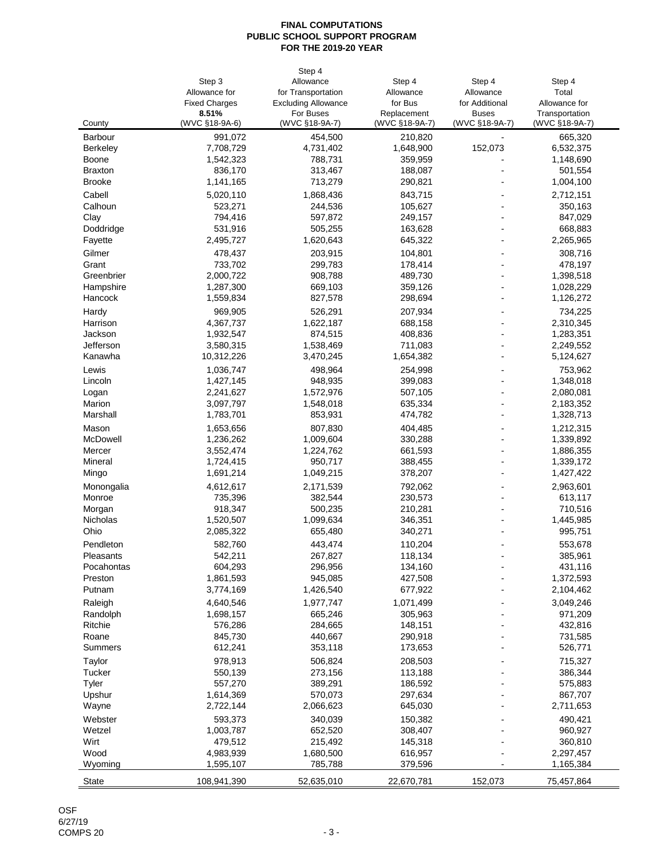|                 |                      | Step 4                     |                |                |                |
|-----------------|----------------------|----------------------------|----------------|----------------|----------------|
|                 | Step 3               | Allowance                  | Step 4         | Step 4         | Step 4         |
|                 | Allowance for        | for Transportation         | Allowance      | Allowance      | Total          |
|                 | <b>Fixed Charges</b> | <b>Excluding Allowance</b> | for Bus        | for Additional | Allowance for  |
|                 | 8.51%                | For Buses                  | Replacement    | <b>Buses</b>   | Transportation |
| County          | (WVC §18-9A-6)       | (WVC §18-9A-7)             | (WVC §18-9A-7) | (WVC §18-9A-7) | (WVC §18-9A-7) |
| <b>Barbour</b>  | 991,072              | 454,500                    | 210,820        |                | 665,320        |
| <b>Berkeley</b> | 7,708,729            | 4,731,402                  | 1,648,900      | 152,073        | 6,532,375      |
| <b>Boone</b>    | 1,542,323            | 788,731                    | 359,959        |                | 1,148,690      |
| <b>Braxton</b>  | 836,170              | 313,467                    | 188,087        |                | 501,554        |
| <b>Brooke</b>   | 1,141,165            | 713,279                    | 290,821        |                | 1,004,100      |
| Cabell          | 5,020,110            | 1,868,436                  | 843,715        |                | 2,712,151      |
| Calhoun         | 523,271              | 244,536                    | 105,627        |                | 350,163        |
| Clay            | 794,416              | 597,872                    | 249,157        |                | 847,029        |
| Doddridge       | 531,916              | 505,255                    | 163,628        |                | 668,883        |
| Fayette         | 2,495,727            | 1,620,643                  | 645,322        |                | 2,265,965      |
| Gilmer          | 478,437              | 203,915                    | 104,801        |                | 308,716        |
| Grant           | 733,702              | 299,783                    | 178,414        |                | 478,197        |
| Greenbrier      | 2,000,722            | 908,788                    | 489,730        |                | 1,398,518      |
| Hampshire       | 1,287,300            | 669,103                    | 359,126        |                | 1,028,229      |
| Hancock         | 1,559,834            | 827,578                    | 298,694        |                | 1,126,272      |
| Hardy           | 969,905              | 526,291                    | 207,934        |                | 734,225        |
| Harrison        | 4,367,737            | 1,622,187                  | 688,158        |                | 2,310,345      |
| Jackson         | 1,932,547            | 874,515                    | 408,836        |                | 1,283,351      |
| Jefferson       | 3,580,315            | 1,538,469                  | 711,083        |                | 2,249,552      |
| Kanawha         | 10,312,226           | 3,470,245                  | 1,654,382      |                | 5,124,627      |
| Lewis           | 1,036,747            | 498,964                    | 254,998        |                | 753,962        |
| Lincoln         | 1,427,145            | 948,935                    | 399,083        |                | 1,348,018      |
| Logan           | 2,241,627            | 1,572,976                  | 507,105        |                | 2,080,081      |
| Marion          | 3,097,797            | 1,548,018                  | 635,334        |                | 2,183,352      |
| Marshall        | 1,783,701            | 853,931                    | 474,782        |                | 1,328,713      |
| Mason           | 1,653,656            | 807,830                    | 404,485        |                | 1,212,315      |
| McDowell        | 1,236,262            | 1,009,604                  | 330,288        |                | 1,339,892      |
| Mercer          | 3,552,474            | 1,224,762                  | 661,593        |                | 1,886,355      |
| Mineral         | 1,724,415            | 950,717                    | 388,455        |                | 1,339,172      |
| Mingo           | 1,691,214            | 1,049,215                  | 378,207        |                | 1,427,422      |
| Monongalia      | 4,612,617            | 2,171,539                  | 792,062        |                | 2,963,601      |
| Monroe          | 735,396              | 382,544                    | 230,573        |                | 613,117        |
| Morgan          | 918,347              | 500,235                    | 210,281        |                | 710,516        |
| Nicholas        | 1,520,507            | 1,099,634                  | 346,351        |                | 1,445,985      |
| Ohio            | 2,085,322            | 655,480                    | 340,271        |                | 995,751        |
| Pendleton       | 582,760              | 443,474                    | 110,204        |                | 553,678        |
| Pleasants       | 542,211              | 267,827                    | 118,134        |                | 385,961        |
| Pocahontas      | 604,293              | 296,956                    | 134,160        |                | 431,116        |
| Preston         | 1,861,593            | 945,085                    | 427,508        |                | 1,372,593      |
| Putnam          | 3,774,169            | 1,426,540                  | 677,922        |                | 2,104,462      |
| Raleigh         | 4,640,546            | 1,977,747                  | 1,071,499      |                | 3,049,246      |
| Randolph        | 1,698,157            | 665,246                    | 305,963        |                | 971,209        |
| Ritchie         | 576,286              | 284,665                    | 148,151        |                | 432,816        |
| Roane           | 845,730              | 440,667                    | 290,918        |                | 731,585        |
| <b>Summers</b>  | 612,241              | 353,118                    | 173,653        |                | 526,771        |
| Taylor          | 978,913              | 506,824                    | 208,503        |                | 715,327        |
| <b>Tucker</b>   | 550,139              | 273,156                    | 113,188        |                | 386,344        |
| <b>Tyler</b>    | 557,270              | 389,291                    | 186,592        |                | 575,883        |
| Upshur          | 1,614,369            | 570,073                    | 297,634        |                | 867,707        |
| Wayne           | 2,722,144            | 2,066,623                  | 645,030        |                | 2,711,653      |
| Webster         | 593,373              | 340,039                    | 150,382        |                | 490,421        |
| Wetzel          | 1,003,787            | 652,520                    | 308,407        |                | 960,927        |
| Wirt            | 479,512              | 215,492                    | 145,318        |                | 360,810        |
| Wood            | 4,983,939            | 1,680,500                  | 616,957        |                | 2,297,457      |
| Wyoming         | 1,595,107            | 785,788                    | 379,596        |                | 1,165,384      |
| <b>State</b>    | 108,941,390          | 52,635,010                 | 22,670,781     | 152,073        | 75,457,864     |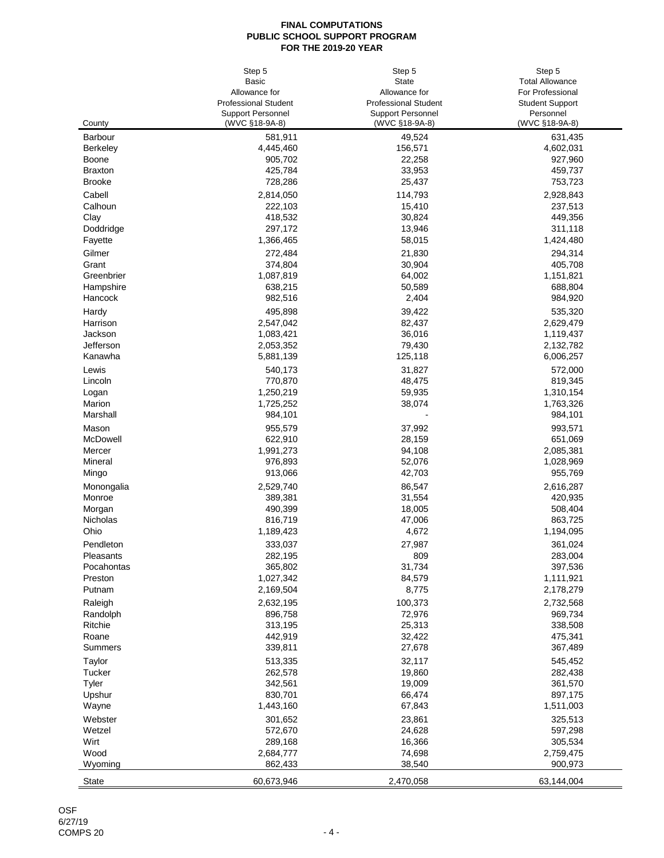|                 | Step 5                      | Step 5                      | Step 5                 |
|-----------------|-----------------------------|-----------------------------|------------------------|
|                 | <b>Basic</b>                | <b>State</b>                | <b>Total Allowance</b> |
|                 | Allowance for               | Allowance for               | For Professional       |
|                 | <b>Professional Student</b> | <b>Professional Student</b> | <b>Student Support</b> |
|                 | <b>Support Personnel</b>    | <b>Support Personnel</b>    | Personnel              |
| County          | (WVC §18-9A-8)              | (WVC §18-9A-8)              | (WVC §18-9A-8)         |
| <b>Barbour</b>  | 581,911                     | 49,524                      | 631,435                |
| <b>Berkeley</b> | 4,445,460                   | 156,571                     | 4,602,031              |
| <b>Boone</b>    | 905,702                     | 22,258                      | 927,960                |
| <b>Braxton</b>  | 425,784                     | 33,953                      | 459,737                |
| <b>Brooke</b>   | 728,286                     | 25,437                      | 753,723                |
| Cabell          | 2,814,050                   | 114,793                     | 2,928,843              |
| Calhoun         | 222,103                     | 15,410                      | 237,513                |
| Clay            | 418,532                     | 30,824                      | 449,356                |
| Doddridge       | 297,172                     | 13,946                      | 311,118                |
| Fayette         | 1,366,465                   | 58,015                      | 1,424,480              |
| Gilmer          | 272,484                     | 21,830                      | 294,314                |
| Grant           | 374,804                     | 30,904                      | 405,708                |
| Greenbrier      | 1,087,819                   | 64,002                      | 1,151,821              |
| Hampshire       | 638,215                     | 50,589                      | 688,804                |
| Hancock         | 982,516                     | 2,404                       | 984,920                |
| Hardy           | 495,898                     | 39,422                      | 535,320                |
| Harrison        | 2,547,042                   | 82,437                      | 2,629,479              |
| Jackson         | 1,083,421                   | 36,016                      | 1,119,437              |
| Jefferson       | 2,053,352                   | 79,430                      | 2,132,782              |
| Kanawha         | 5,881,139                   | 125,118                     | 6,006,257              |
| Lewis           | 540,173                     | 31,827                      | 572,000                |
| Lincoln         | 770,870                     | 48,475                      | 819,345                |
| Logan           | 1,250,219                   | 59,935                      | 1,310,154              |
| Marion          | 1,725,252                   | 38,074                      | 1,763,326              |
| Marshall        | 984,101                     |                             | 984,101                |
| Mason           | 955,579                     | 37,992                      | 993,571                |
| McDowell        | 622,910                     | 28,159                      | 651,069                |
| Mercer          | 1,991,273                   | 94,108                      | 2,085,381              |
| Mineral         | 976,893                     | 52,076                      | 1,028,969              |
| Mingo           | 913,066                     | 42,703                      | 955,769                |
| Monongalia      | 2,529,740                   | 86,547                      | 2,616,287              |
| Monroe          | 389,381                     | 31,554                      | 420,935                |
| Morgan          | 490,399                     | 18,005                      | 508,404                |
| Nicholas        | 816,719                     | 47,006                      | 863,725                |
| Ohio            | 1,189,423                   | 4,672                       | 1,194,095              |
| Pendleton       | 333,037                     | 27,987                      | 361,024                |
| Pleasants       | 282,195                     | 809                         | 283,004                |
| Pocahontas      | 365,802                     | 31,734                      | 397,536                |
| Preston         | 1,027,342                   | 84,579                      | 1,111,921              |
| Putnam          | 2,169,504                   | 8,775                       | 2,178,279              |
| Raleigh         | 2,632,195                   | 100,373                     | 2,732,568              |
| Randolph        | 896,758                     | 72,976                      | 969,734                |
| Ritchie         | 313,195                     | 25,313                      | 338,508                |
| Roane           | 442,919                     | 32,422                      | 475,341                |
| <b>Summers</b>  | 339,811                     | 27,678                      | 367,489                |
| Taylor          | 513,335                     | 32,117                      | 545,452                |
| <b>Tucker</b>   | 262,578                     | 19,860                      | 282,438                |
| <b>Tyler</b>    | 342,561                     | 19,009                      | 361,570                |
| Upshur          | 830,701                     | 66,474                      | 897,175                |
| Wayne           | 1,443,160                   | 67,843                      | 1,511,003              |
| Webster         | 301,652                     | 23,861                      | 325,513                |
| Wetzel          | 572,670                     | 24,628                      | 597,298                |
| Wirt            | 289,168                     | 16,366                      | 305,534                |
| Wood            | 2,684,777                   | 74,698                      | 2,759,475              |
| Wyoming         | 862,433                     | 38,540                      | 900,973                |
| <b>State</b>    | 60,673,946                  | 2,470,058                   | 63,144,004             |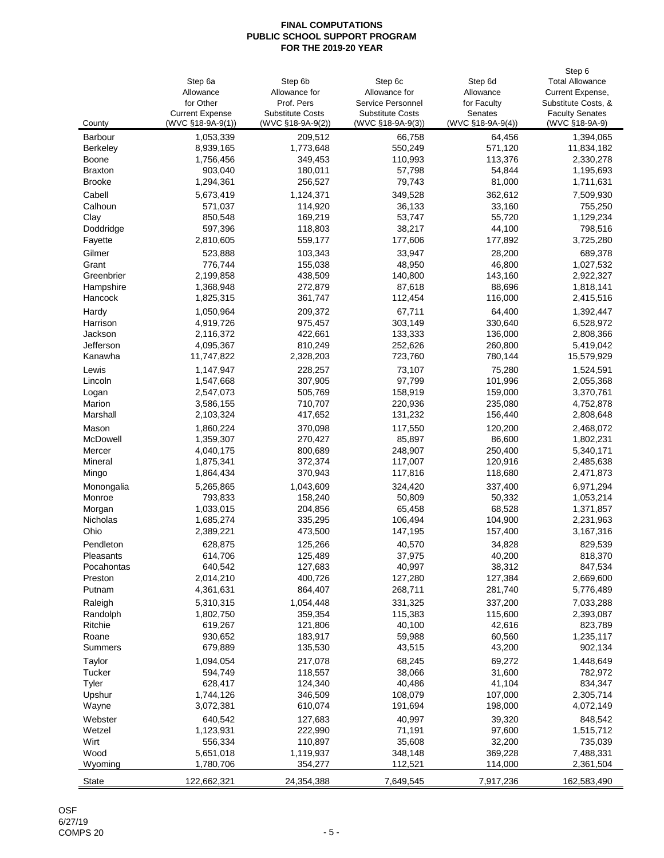|                 |                        |                         |                         |                   | Step 6                 |
|-----------------|------------------------|-------------------------|-------------------------|-------------------|------------------------|
|                 | Step 6a                | Step 6b                 | Step 6c                 | Step 6d           | <b>Total Allowance</b> |
|                 | Allowance              | Allowance for           | Allowance for           | Allowance         | Current Expense,       |
|                 | for Other              | Prof. Pers              | Service Personnel       | for Faculty       | Substitute Costs, &    |
|                 | <b>Current Expense</b> | <b>Substitute Costs</b> | <b>Substitute Costs</b> | Senates           | <b>Faculty Senates</b> |
| County          | $(WVC$ §18-9A-9(1))    | (WVC §18-9A-9(2))       | (WVC §18-9A-9(3))       | (WVC §18-9A-9(4)) | (WVC §18-9A-9)         |
| <b>Barbour</b>  | 1,053,339              | 209,512                 | 66,758                  | 64,456            | 1,394,065              |
| <b>Berkeley</b> | 8,939,165              | 1,773,648               | 550,249                 | 571,120           | 11,834,182             |
| <b>Boone</b>    | 1,756,456              | 349,453                 | 110,993                 | 113,376           | 2,330,278              |
| <b>Braxton</b>  | 903,040                | 180,011                 | 57,798                  | 54,844            | 1,195,693              |
| <b>Brooke</b>   | 1,294,361              | 256,527                 | 79,743                  | 81,000            | 1,711,631              |
| Cabell          | 5,673,419              | 1,124,371               | 349,528                 | 362,612           | 7,509,930              |
| Calhoun         | 571,037                | 114,920                 | 36,133                  | 33,160            | 755,250                |
| Clay            | 850,548                | 169,219                 | 53,747                  | 55,720            | 1,129,234              |
| Doddridge       | 597,396                | 118,803                 | 38,217                  | 44,100            | 798,516                |
| Fayette         | 2,810,605              | 559,177                 | 177,606                 | 177,892           | 3,725,280              |
| Gilmer          | 523,888                | 103,343                 | 33,947                  | 28,200            | 689,378                |
| Grant           | 776,744                | 155,038                 | 48,950                  | 46,800            | 1,027,532              |
| Greenbrier      | 2,199,858              | 438,509                 | 140,800                 | 143,160           | 2,922,327              |
| Hampshire       | 1,368,948              | 272,879                 | 87,618                  | 88,696            | 1,818,141              |
| Hancock         | 1,825,315              | 361,747                 | 112,454                 | 116,000           | 2,415,516              |
|                 |                        |                         |                         |                   |                        |
| Hardy           | 1,050,964              | 209,372                 | 67,711                  | 64,400            | 1,392,447              |
| Harrison        | 4,919,726              | 975,457                 | 303,149                 | 330,640           | 6,528,972              |
| Jackson         | 2,116,372              | 422,661                 | 133,333                 | 136,000           | 2,808,366              |
| Jefferson       | 4,095,367              | 810,249                 | 252,626                 | 260,800           | 5,419,042              |
| Kanawha         | 11,747,822             | 2,328,203               | 723,760                 | 780,144           | 15,579,929             |
| Lewis           | 1,147,947              | 228,257                 | 73,107                  | 75,280            | 1,524,591              |
| Lincoln         | 1,547,668              | 307,905                 | 97,799                  | 101,996           | 2,055,368              |
| Logan           | 2,547,073              | 505,769                 | 158,919                 | 159,000           | 3,370,761              |
| Marion          | 3,586,155              | 710,707                 | 220,936                 | 235,080           | 4,752,878              |
| Marshall        | 2,103,324              | 417,652                 | 131,232                 | 156,440           | 2,808,648              |
| Mason           | 1,860,224              | 370,098                 | 117,550                 | 120,200           | 2,468,072              |
| McDowell        | 1,359,307              | 270,427                 | 85,897                  | 86,600            | 1,802,231              |
| Mercer          | 4,040,175              | 800,689                 | 248,907                 | 250,400           | 5,340,171              |
| Mineral         | 1,875,341              | 372,374                 | 117,007                 | 120,916           | 2,485,638              |
| Mingo           | 1,864,434              | 370,943                 | 117,816                 | 118,680           | 2,471,873              |
|                 |                        |                         |                         |                   |                        |
| Monongalia      | 5,265,865              | 1,043,609               | 324,420                 | 337,400           | 6,971,294              |
| Monroe          | 793,833                | 158,240                 | 50,809                  | 50,332            | 1,053,214              |
| Morgan          | 1,033,015              | 204,856                 | 65,458                  | 68,528            | 1,371,857              |
| Nicholas        | 1,685,274              | 335,295                 | 106,494                 | 104,900           | 2,231,963              |
| Ohio            | 2,389,221              | 473,500                 | 147,195                 | 157,400           | 3,167,316              |
| Pendleton       | 628,875                | 125,266                 | 40,570                  | 34,828            | 829,539                |
| Pleasants       | 614,706                | 125,489                 | 37,975                  | 40,200            | 818,370                |
| Pocahontas      | 640,542                | 127,683                 | 40,997                  | 38,312            | 847,534                |
| Preston         | 2,014,210              | 400,726                 | 127,280                 | 127,384           | 2,669,600              |
| Putnam          | 4,361,631              | 864,407                 | 268,711                 | 281,740           | 5,776,489              |
| Raleigh         | 5,310,315              | 1,054,448               | 331,325                 | 337,200           | 7,033,288              |
| Randolph        | 1,802,750              | 359,354                 | 115,383                 | 115,600           | 2,393,087              |
| Ritchie         | 619,267                | 121,806                 | 40,100                  | 42,616            | 823,789                |
| Roane           | 930,652                | 183,917                 | 59,988                  | 60,560            | 1,235,117              |
| <b>Summers</b>  | 679,889                | 135,530                 | 43,515                  | 43,200            | 902,134                |
| Taylor          | 1,094,054              | 217,078                 | 68,245                  | 69,272            | 1,448,649              |
| Tucker          | 594,749                | 118,557                 | 38,066                  | 31,600            | 782,972                |
| <b>Tyler</b>    | 628,417                | 124,340                 | 40,486                  | 41,104            | 834,347                |
| Upshur          | 1,744,126              | 346,509                 | 108,079                 | 107,000           | 2,305,714              |
| Wayne           | 3,072,381              | 610,074                 | 191,694                 | 198,000           | 4,072,149              |
|                 |                        |                         |                         |                   |                        |
| Webster         | 640,542                | 127,683                 | 40,997                  | 39,320            | 848,542                |
| Wetzel          | 1,123,931              | 222,990                 | 71,191                  | 97,600            | 1,515,712              |
| Wirt            | 556,334                | 110,897                 | 35,608                  | 32,200            | 735,039                |
| Wood            | 5,651,018              | 1,119,937               | 348,148                 | 369,228           | 7,488,331              |
| Wyoming         | 1,780,706              | 354,277                 | 112,521                 | 114,000           | 2,361,504              |
| <b>State</b>    | 122,662,321            | 24,354,388              | 7,649,545               | 7,917,236         | 162,583,490            |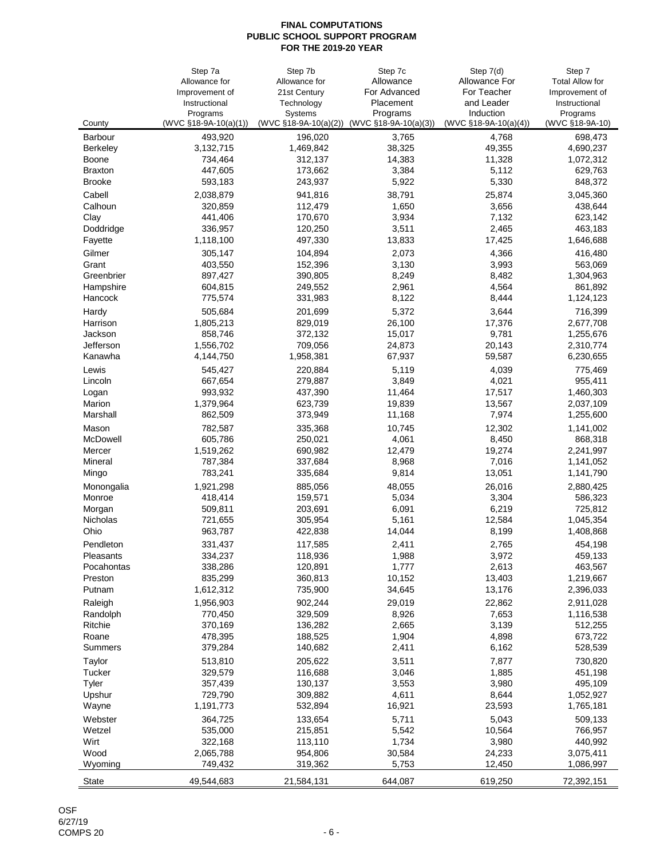|                    | Step 7a                   | Step 7b                      | Step 7c               | Step 7(d)               | Step 7                    |
|--------------------|---------------------------|------------------------------|-----------------------|-------------------------|---------------------------|
|                    | Allowance for             | Allowance for                | Allowance             | <b>Allowance For</b>    | <b>Total Allow for</b>    |
|                    | Improvement of            | 21st Century                 | For Advanced          | For Teacher             | Improvement of            |
|                    | Instructional<br>Programs | Technology<br><b>Systems</b> | Placement<br>Programs | and Leader<br>Induction | Instructional<br>Programs |
| County             | $(WVC$ §18-9A-10(a)(1))   | $(WVC$ §18-9A-10(a)(2))      | (WVC §18-9A-10(a)(3)) | $(WVC$ §18-9A-10(a)(4)) | (WVC §18-9A-10)           |
| <b>Barbour</b>     | 493,920                   | 196,020                      | 3,765                 | 4,768                   | 698,473                   |
| <b>Berkeley</b>    | 3,132,715                 | 1,469,842                    | 38,325                | 49,355                  | 4,690,237                 |
| <b>Boone</b>       | 734,464                   | 312,137                      | 14,383                | 11,328                  | 1,072,312                 |
| <b>Braxton</b>     | 447,605                   | 173,662                      | 3,384                 | 5,112                   | 629,763                   |
| <b>Brooke</b>      | 593,183                   | 243,937                      | 5,922                 | 5,330                   | 848,372                   |
| Cabell             | 2,038,879                 | 941,816                      | 38,791                | 25,874                  | 3,045,360                 |
| Calhoun            | 320,859                   | 112,479                      | 1,650                 | 3,656                   | 438,644                   |
| Clay               | 441,406                   | 170,670                      | 3,934                 | 7,132                   | 623,142                   |
| Doddridge          | 336,957                   | 120,250                      | 3,511                 | 2,465                   | 463,183                   |
| Fayette            | 1,118,100                 | 497,330                      | 13,833                | 17,425                  | 1,646,688                 |
| Gilmer             | 305,147                   | 104,894                      | 2,073                 | 4,366                   | 416,480                   |
| Grant              | 403,550                   | 152,396                      | 3,130                 | 3,993                   | 563,069                   |
| Greenbrier         | 897,427                   | 390,805                      | 8,249                 | 8,482                   | 1,304,963                 |
| Hampshire          | 604,815                   | 249,552                      | 2,961                 | 4,564                   | 861,892                   |
| Hancock            | 775,574                   | 331,983                      | 8,122                 | 8,444                   | 1,124,123                 |
| Hardy              | 505,684                   | 201,699                      | 5,372                 | 3,644                   | 716,399                   |
| Harrison           | 1,805,213                 | 829,019                      | 26,100                | 17,376                  | 2,677,708                 |
| Jackson            | 858,746                   | 372,132                      | 15,017                | 9,781                   | 1,255,676                 |
| Jefferson          | 1,556,702                 | 709,056                      | 24,873                | 20,143                  | 2,310,774                 |
| Kanawha            | 4,144,750                 | 1,958,381                    | 67,937                | 59,587                  | 6,230,655                 |
| Lewis              | 545,427                   | 220,884                      | 5,119                 | 4,039                   | 775,469                   |
| Lincoln            | 667,654                   | 279,887                      | 3,849                 | 4,021                   | 955,411                   |
| Logan              | 993,932                   | 437,390                      | 11,464                | 17,517                  | 1,460,303                 |
| Marion             | 1,379,964                 | 623,739                      | 19,839                | 13,567                  | 2,037,109                 |
| Marshall           | 862,509                   | 373,949                      | 11,168                | 7,974                   | 1,255,600                 |
| Mason              | 782,587                   | 335,368                      | 10,745                | 12,302                  | 1,141,002                 |
| McDowell           | 605,786                   | 250,021                      | 4,061                 | 8,450                   | 868,318                   |
| Mercer             | 1,519,262                 | 690,982<br>337,684           | 12,479                | 19,274                  | 2,241,997                 |
| Mineral            | 787,384<br>783,241        | 335,684                      | 8,968<br>9,814        | 7,016<br>13,051         | 1,141,052<br>1,141,790    |
| Mingo              |                           |                              |                       |                         |                           |
| Monongalia         | 1,921,298                 | 885,056                      | 48,055                | 26,016                  | 2,880,425                 |
| Monroe             | 418,414<br>509,811        | 159,571<br>203,691           | 5,034<br>6,091        | 3,304<br>6,219          | 586,323<br>725,812        |
| Morgan<br>Nicholas | 721,655                   | 305,954                      | 5,161                 | 12,584                  | 1,045,354                 |
| Ohio               | 963,787                   | 422,838                      | 14,044                | 8,199                   | 1,408,868                 |
| Pendleton          |                           |                              | 2,411                 |                         | 454,198                   |
| Pleasants          | 331,437<br>334,237        | 117,585<br>118,936           | 1,988                 | 2,765<br>3,972          | 459,133                   |
| Pocahontas         | 338,286                   | 120,891                      | 1,777                 | 2,613                   | 463,567                   |
| Preston            | 835,299                   | 360,813                      | 10,152                | 13,403                  | 1,219,667                 |
| Putnam             | 1,612,312                 | 735,900                      | 34,645                | 13,176                  | 2,396,033                 |
| Raleigh            | 1,956,903                 | 902,244                      | 29,019                | 22,862                  | 2,911,028                 |
| Randolph           | 770,450                   | 329,509                      | 8,926                 | 7,653                   | 1,116,538                 |
| Ritchie            | 370,169                   | 136,282                      | 2,665                 | 3,139                   | 512,255                   |
| Roane              | 478,395                   | 188,525                      | 1,904                 | 4,898                   | 673,722                   |
| <b>Summers</b>     | 379,284                   | 140,682                      | 2,411                 | 6,162                   | 528,539                   |
| Taylor             | 513,810                   | 205,622                      | 3,511                 | 7,877                   | 730,820                   |
| Tucker             | 329,579                   | 116,688                      | 3,046                 | 1,885                   | 451,198                   |
| <b>Tyler</b>       | 357,439                   | 130,137                      | 3,553                 | 3,980                   | 495,109                   |
| Upshur             | 729,790                   | 309,882                      | 4,611                 | 8,644                   | 1,052,927                 |
| Wayne              | 1,191,773                 | 532,894                      | 16,921                | 23,593                  | 1,765,181                 |
| Webster            | 364,725                   | 133,654                      | 5,711                 | 5,043                   | 509,133                   |
| Wetzel             | 535,000                   | 215,851                      | 5,542                 | 10,564                  | 766,957                   |
| Wirt               | 322,168                   | 113,110                      | 1,734                 | 3,980                   | 440,992                   |
| Wood               | 2,065,788                 | 954,806                      | 30,584                | 24,233                  | 3,075,411                 |
| Wyoming            | 749,432                   | 319,362                      | 5,753                 | 12,450                  | 1,086,997                 |
| <b>State</b>       | 49,544,683                | 21,584,131                   | 644,087               | 619,250                 | 72,392,151                |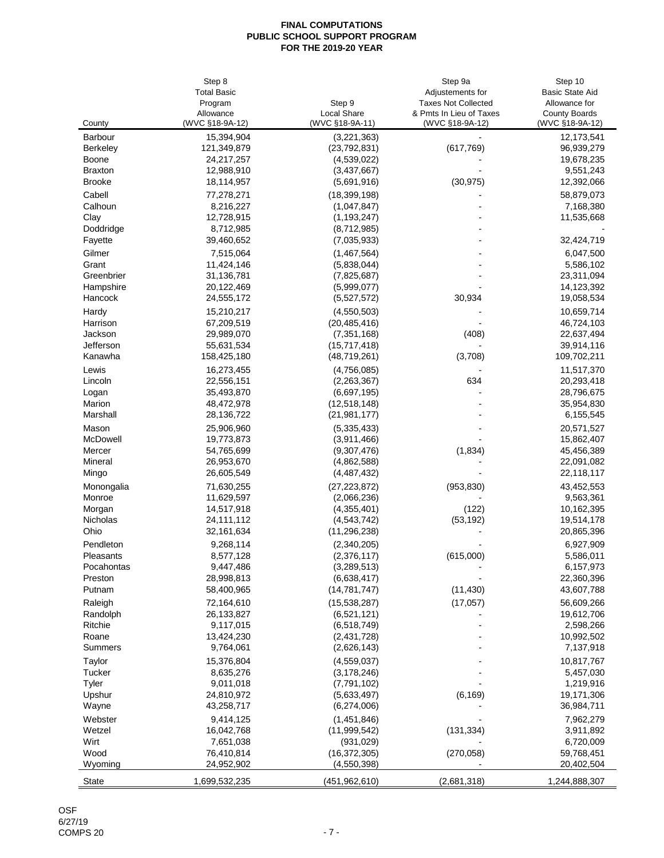|                 | Step 8                       |                                       | Step 9a                                    | Step 10                                 |
|-----------------|------------------------------|---------------------------------------|--------------------------------------------|-----------------------------------------|
|                 | <b>Total Basic</b>           |                                       | Adjustements for                           | <b>Basic State Aid</b>                  |
|                 | Program                      | Step 9                                | <b>Taxes Not Collected</b>                 | Allowance for                           |
| County          | Allowance<br>(WVC §18-9A-12) | <b>Local Share</b><br>(WVC §18-9A-11) | & Pmts In Lieu of Taxes<br>(WVC §18-9A-12) | <b>County Boards</b><br>(WVC §18-9A-12) |
| <b>Barbour</b>  | 15,394,904                   | (3,221,363)                           |                                            | 12,173,541                              |
| <b>Berkeley</b> | 121,349,879                  | (23, 792, 831)                        | (617, 769)                                 | 96,939,279                              |
| <b>Boone</b>    | 24,217,257                   | (4,539,022)                           |                                            | 19,678,235                              |
| <b>Braxton</b>  | 12,988,910                   | (3,437,667)                           |                                            | 9,551,243                               |
| <b>Brooke</b>   | 18,114,957                   | (5,691,916)                           | (30, 975)                                  | 12,392,066                              |
| Cabell          | 77,278,271                   | (18, 399, 198)                        |                                            | 58,879,073                              |
| Calhoun         | 8,216,227                    | (1,047,847)                           |                                            | 7,168,380                               |
| Clay            | 12,728,915                   | (1, 193, 247)                         |                                            | 11,535,668                              |
| Doddridge       | 8,712,985                    | (8,712,985)                           |                                            |                                         |
| Fayette         | 39,460,652                   | (7,035,933)                           |                                            | 32,424,719                              |
| Gilmer          | 7,515,064                    | (1,467,564)                           |                                            | 6,047,500                               |
| Grant           | 11,424,146                   | (5,838,044)                           |                                            | 5,586,102                               |
| Greenbrier      | 31,136,781                   | (7,825,687)                           |                                            | 23,311,094                              |
| Hampshire       | 20,122,469                   | (5,999,077)                           |                                            | 14,123,392                              |
| Hancock         | 24,555,172                   | (5,527,572)                           | 30,934                                     | 19,058,534                              |
| Hardy           | 15,210,217                   | (4,550,503)                           |                                            | 10,659,714                              |
| Harrison        | 67,209,519                   | (20, 485, 416)                        |                                            | 46,724,103                              |
| Jackson         | 29,989,070                   | (7, 351, 168)                         | (408)                                      | 22,637,494                              |
| Jefferson       | 55,631,534                   | (15,717,418)                          |                                            | 39,914,116                              |
| Kanawha         | 158,425,180                  | (48, 719, 261)                        | (3,708)                                    | 109,702,211                             |
| Lewis           | 16,273,455                   | (4,756,085)                           |                                            | 11,517,370                              |
| Lincoln         | 22,556,151                   | (2,263,367)                           | 634                                        | 20,293,418                              |
| Logan           | 35,493,870                   | (6,697,195)                           |                                            | 28,796,675                              |
| Marion          | 48,472,978                   | (12,518,148)                          |                                            | 35,954,830                              |
| Marshall        | 28,136,722                   | (21, 981, 177)                        |                                            | 6,155,545                               |
| Mason           | 25,906,960                   | (5,335,433)                           |                                            | 20,571,527                              |
| McDowell        | 19,773,873                   | (3,911,466)                           |                                            | 15,862,407                              |
| Mercer          | 54,765,699                   | (9,307,476)                           | (1,834)                                    | 45,456,389                              |
| Mineral         | 26,953,670                   | (4,862,588)                           |                                            | 22,091,082                              |
| Mingo           | 26,605,549                   | (4, 487, 432)                         |                                            | 22,118,117                              |
| Monongalia      | 71,630,255                   | (27, 223, 872)                        | (953, 830)                                 | 43,452,553                              |
| Monroe          | 11,629,597                   | (2,066,236)                           |                                            | 9,563,361                               |
| Morgan          | 14,517,918                   | (4,355,401)                           | (122)                                      | 10,162,395                              |
| Nicholas        | 24,111,112                   | (4, 543, 742)                         | (53, 192)                                  | 19,514,178                              |
| Ohio            | 32, 161, 634                 | (11, 296, 238)                        |                                            | 20,865,396                              |
| Pendleton       | 9,268,114                    | (2,340,205)                           |                                            | 6,927,909                               |
| Pleasants       | 8,577,128                    | (2,376,117)                           | (615,000)                                  | 5,586,011                               |
| Pocahontas      | 9,447,486                    | (3,289,513)                           |                                            | 6,157,973                               |
| Preston         | 28,998,813                   | (6,638,417)                           |                                            | 22,360,396                              |
| Putnam          | 58,400,965                   | (14, 781, 747)                        | (11, 430)                                  | 43,607,788                              |
| Raleigh         | 72,164,610                   | (15,538,287)                          | (17,057)                                   | 56,609,266                              |
| Randolph        | 26,133,827                   | (6,521,121)                           |                                            | 19,612,706                              |
| <b>Ritchie</b>  | 9,117,015                    | (6, 518, 749)                         |                                            | 2,598,266                               |
| Roane           | 13,424,230                   | (2,431,728)                           |                                            | 10,992,502                              |
| <b>Summers</b>  | 9,764,061                    | (2,626,143)                           |                                            | 7,137,918                               |
| Taylor          | 15,376,804                   | (4,559,037)                           |                                            | 10,817,767                              |
| <b>Tucker</b>   | 8,635,276                    | (3, 178, 246)                         |                                            | 5,457,030                               |
| <b>Tyler</b>    | 9,011,018                    | (7, 791, 102)                         |                                            | 1,219,916                               |
| Upshur          | 24,810,972                   | (5,633,497)                           | (6, 169)                                   | 19,171,306                              |
| Wayne           | 43,258,717                   | (6,274,006)                           |                                            | 36,984,711                              |
| Webster         | 9,414,125                    | (1,451,846)                           |                                            | 7,962,279                               |
| Wetzel          | 16,042,768                   | (11,999,542)                          | (131, 334)                                 | 3,911,892                               |
| Wirt            | 7,651,038                    | (931, 029)                            |                                            | 6,720,009                               |
| Wood            | 76,410,814                   | (16, 372, 305)                        | (270, 058)                                 | 59,768,451                              |
| Wyoming         | 24,952,902                   | (4, 550, 398)                         |                                            | 20,402,504                              |
| <b>State</b>    | 1,699,532,235                | (451, 962, 610)                       | (2,681,318)                                | 1,244,888,307                           |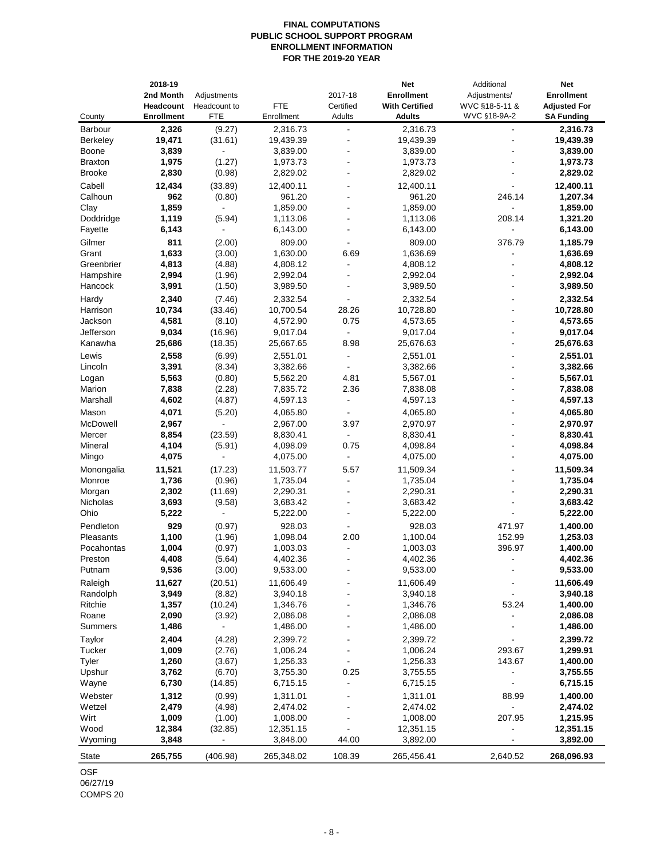# **FINAL COMPUTATIONS PUBLIC SCHOOL SUPPORT PROGRAM ENROLLMENT INFORMATION FOR THE 2019-20 YEAR**

| County               | 2018-19<br>2nd Month<br><b>Headcount</b><br><b>Enrollment</b> | Adjustments<br>Headcount to<br><b>FTE</b> | <b>FTE</b><br>Enrollment | 2017-18<br>Certified<br>Adults | <b>Net</b><br><b>Enrollment</b><br><b>With Certified</b><br><b>Adults</b> | Additional<br>Adjustments/<br>WVC §18-5-11 &<br>WVC §18-9A-2 | <b>Net</b><br><b>Enrollment</b><br><b>Adjusted For</b><br><b>SA Funding</b> |
|----------------------|---------------------------------------------------------------|-------------------------------------------|--------------------------|--------------------------------|---------------------------------------------------------------------------|--------------------------------------------------------------|-----------------------------------------------------------------------------|
| <b>Barbour</b>       | 2,326                                                         | (9.27)                                    | 2,316.73                 |                                | 2,316.73                                                                  |                                                              | 2,316.73                                                                    |
| <b>Berkeley</b>      | 19,471                                                        | (31.61)                                   | 19,439.39                |                                | 19,439.39                                                                 |                                                              | 19,439.39                                                                   |
| <b>Boone</b>         | 3,839                                                         |                                           | 3,839.00                 |                                | 3,839.00                                                                  |                                                              | 3,839.00                                                                    |
| <b>Braxton</b>       | 1,975                                                         | (1.27)                                    | 1,973.73                 |                                | 1,973.73                                                                  |                                                              | 1,973.73                                                                    |
| <b>Brooke</b>        | 2,830                                                         | (0.98)                                    | 2,829.02                 |                                | 2,829.02                                                                  |                                                              | 2,829.02                                                                    |
| Cabell               | 12,434                                                        | (33.89)                                   | 12,400.11                |                                | 12,400.11                                                                 |                                                              | 12,400.11                                                                   |
| Calhoun              | 962                                                           | (0.80)                                    | 961.20                   |                                | 961.20                                                                    | 246.14                                                       | 1,207.34                                                                    |
| Clay                 | 1,859                                                         |                                           | 1,859.00                 |                                | 1,859.00                                                                  |                                                              | 1,859.00                                                                    |
| Doddridge<br>Fayette | 1,119<br>6,143                                                | (5.94)                                    | 1,113.06<br>6,143.00     |                                | 1,113.06<br>6,143.00                                                      | 208.14                                                       | 1,321.20<br>6,143.00                                                        |
| Gilmer               | 811                                                           | (2.00)                                    | 809.00                   |                                | 809.00                                                                    | 376.79                                                       | 1,185.79                                                                    |
| Grant                | 1,633                                                         | (3.00)                                    | 1,630.00                 | 6.69                           | 1,636.69                                                                  |                                                              | 1,636.69                                                                    |
| Greenbrier           | 4,813                                                         | (4.88)                                    | 4,808.12                 |                                | 4,808.12                                                                  |                                                              | 4,808.12                                                                    |
| Hampshire            | 2,994                                                         | (1.96)                                    | 2,992.04                 |                                | 2,992.04                                                                  |                                                              | 2,992.04                                                                    |
| Hancock              | 3,991                                                         | (1.50)                                    | 3,989.50                 |                                | 3,989.50                                                                  |                                                              | 3,989.50                                                                    |
| Hardy                | 2,340                                                         | (7.46)                                    | 2,332.54                 |                                | 2,332.54                                                                  |                                                              | 2,332.54                                                                    |
| Harrison             | 10,734                                                        | (33.46)                                   | 10,700.54                | 28.26                          | 10,728.80                                                                 |                                                              | 10,728.80                                                                   |
| Jackson              | 4,581                                                         | (8.10)                                    | 4,572.90                 | 0.75                           | 4,573.65                                                                  |                                                              | 4,573.65                                                                    |
| Jefferson            | 9,034                                                         | (16.96)                                   | 9,017.04                 |                                | 9,017.04                                                                  |                                                              | 9,017.04                                                                    |
| Kanawha              | 25,686                                                        | (18.35)                                   | 25,667.65                | 8.98                           | 25,676.63                                                                 |                                                              | 25,676.63                                                                   |
| Lewis                | 2,558                                                         | (6.99)                                    | 2,551.01                 |                                | 2,551.01                                                                  |                                                              | 2,551.01                                                                    |
| Lincoln              | 3,391                                                         | (8.34)                                    | 3,382.66                 |                                | 3,382.66                                                                  |                                                              | 3,382.66                                                                    |
| Logan                | 5,563                                                         | (0.80)                                    | 5,562.20                 | 4.81                           | 5,567.01                                                                  |                                                              | 5,567.01                                                                    |
| Marion<br>Marshall   | 7,838<br>4,602                                                | (2.28)<br>(4.87)                          | 7,835.72<br>4,597.13     | 2.36                           | 7,838.08<br>4,597.13                                                      |                                                              | 7,838.08<br>4,597.13                                                        |
| Mason                | 4,071                                                         |                                           | 4,065.80                 |                                | 4,065.80                                                                  |                                                              | 4,065.80                                                                    |
| McDowell             | 2,967                                                         | (5.20)                                    | 2,967.00                 | 3.97                           | 2,970.97                                                                  |                                                              | 2,970.97                                                                    |
| Mercer               | 8,854                                                         | (23.59)                                   | 8,830.41                 | $\overline{\phantom{a}}$       | 8,830.41                                                                  |                                                              | 8,830.41                                                                    |
| Mineral              | 4,104                                                         | (5.91)                                    | 4,098.09                 | 0.75                           | 4,098.84                                                                  |                                                              | 4,098.84                                                                    |
| Mingo                | 4,075                                                         |                                           | 4,075.00                 |                                | 4,075.00                                                                  |                                                              | 4,075.00                                                                    |
| Monongalia           | 11,521                                                        | (17.23)                                   | 11,503.77                | 5.57                           | 11,509.34                                                                 |                                                              | 11,509.34                                                                   |
| Monroe               | 1,736                                                         | (0.96)                                    | 1,735.04                 |                                | 1,735.04                                                                  |                                                              | 1,735.04                                                                    |
| Morgan               | 2,302                                                         | (11.69)                                   | 2,290.31                 |                                | 2,290.31                                                                  |                                                              | 2,290.31                                                                    |
| Nicholas             | 3,693                                                         | (9.58)                                    | 3,683.42                 |                                | 3,683.42                                                                  |                                                              | 3,683.42                                                                    |
| Ohio                 | 5,222                                                         |                                           | 5,222.00                 |                                | 5,222.00                                                                  |                                                              | 5,222.00                                                                    |
| Pendleton            | 929                                                           | (0.97)                                    | 928.03                   |                                | 928.03                                                                    | 471.97                                                       | 1,400.00                                                                    |
| Pleasants            | 1,100                                                         | (1.96)                                    | 1,098.04                 | 2.00                           | 1,100.04                                                                  | 152.99                                                       | 1,253.03                                                                    |
| Pocahontas           | 1,004                                                         | (0.97)                                    | 1,003.03                 |                                | 1,003.03                                                                  | 396.97                                                       | 1,400.00                                                                    |
| Preston<br>Putnam    | 4,408<br>9,536                                                | (5.64)<br>(3.00)                          | 4,402.36<br>9,533.00     |                                | 4,402.36<br>9,533.00                                                      |                                                              | 4,402.36<br>9,533.00                                                        |
| Raleigh              | 11,627                                                        | (20.51)                                   | 11,606.49                |                                | 11,606.49                                                                 |                                                              | 11,606.49                                                                   |
| Randolph             | 3,949                                                         | (8.82)                                    | 3,940.18                 |                                | 3,940.18                                                                  |                                                              | 3,940.18                                                                    |
| Ritchie              | 1,357                                                         | (10.24)                                   | 1,346.76                 |                                | 1,346.76                                                                  | 53.24                                                        | 1,400.00                                                                    |
| Roane                | 2,090                                                         | (3.92)                                    | 2,086.08                 |                                | 2,086.08                                                                  |                                                              | 2,086.08                                                                    |
| <b>Summers</b>       | 1,486                                                         |                                           | 1,486.00                 |                                | 1,486.00                                                                  |                                                              | 1,486.00                                                                    |
| Taylor               | 2,404                                                         | (4.28)                                    | 2,399.72                 |                                | 2,399.72                                                                  |                                                              | 2,399.72                                                                    |
| <b>Tucker</b>        | 1,009                                                         | (2.76)                                    | 1,006.24                 |                                | 1,006.24                                                                  | 293.67                                                       | 1,299.91                                                                    |
| Tyler                | 1,260                                                         | (3.67)                                    | 1,256.33                 |                                | 1,256.33                                                                  | 143.67                                                       | 1,400.00                                                                    |
| Upshur               | 3,762                                                         | (6.70)                                    | 3,755.30                 | 0.25                           | 3,755.55                                                                  |                                                              | 3,755.55                                                                    |
| Wayne                | 6,730                                                         | (14.85)                                   | 6,715.15                 |                                | 6,715.15                                                                  |                                                              | 6,715.15                                                                    |
| Webster              | 1,312                                                         | (0.99)                                    | 1,311.01                 |                                | 1,311.01                                                                  | 88.99                                                        | 1,400.00                                                                    |
| Wetzel               | 2,479                                                         | (4.98)                                    | 2,474.02                 |                                | 2,474.02                                                                  |                                                              | 2,474.02                                                                    |
| Wirt                 | 1,009                                                         | (1.00)                                    | 1,008.00                 |                                | 1,008.00                                                                  | 207.95                                                       | 1,215.95                                                                    |
| Wood                 | 12,384                                                        | (32.85)                                   | 12,351.15                |                                | 12,351.15                                                                 |                                                              | 12,351.15                                                                   |
| Wyoming              | 3,848                                                         |                                           | 3,848.00                 | 44.00                          | 3,892.00                                                                  |                                                              | 3,892.00                                                                    |
| <b>State</b>         | 265,755                                                       | (406.98)                                  | 265,348.02               | 108.39                         | 265,456.41                                                                | 2,640.52                                                     | 268,096.93                                                                  |

OSF 06/27/19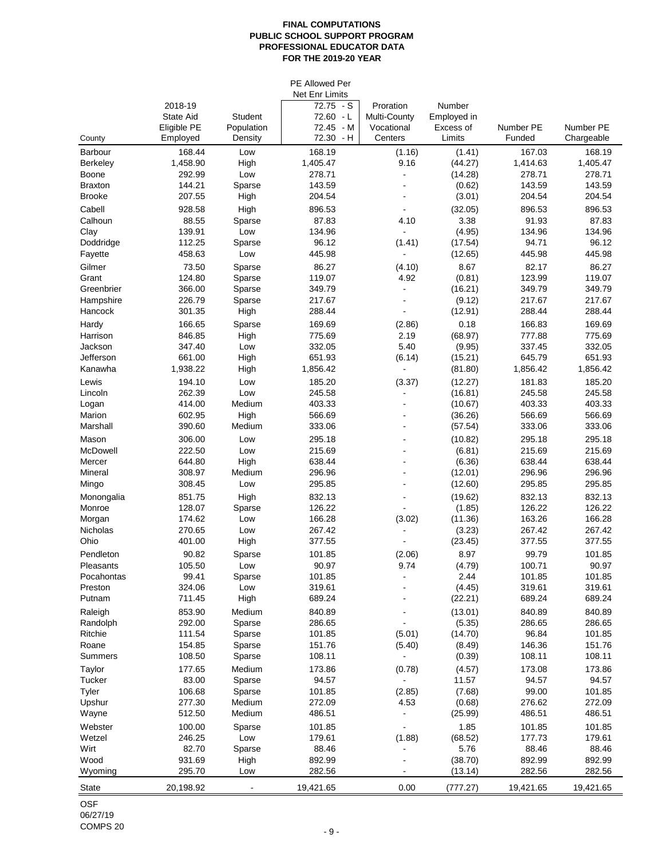# **FINAL COMPUTATIONS PUBLIC SCHOOL SUPPORT PROGRAM PROFESSIONAL EDUCATOR DATA FOR THE 2019-20 YEAR**

|                         |                  |                          | PE Allowed Per                       |                |                   |                  |                  |
|-------------------------|------------------|--------------------------|--------------------------------------|----------------|-------------------|------------------|------------------|
|                         | 2018-19          |                          | <b>Net Enr Limits</b><br>$72.75 - S$ | Proration      | Number            |                  |                  |
|                         | <b>State Aid</b> | <b>Student</b>           | 72.60 - L                            | Multi-County   | Employed in       |                  |                  |
|                         | Eligible PE      | Population               | 72.45 - M                            | Vocational     | Excess of         | Number PE        | Number PE        |
| County                  | Employed         | Density                  | 72.30 - H                            | Centers        | Limits            | Funded           | Chargeable       |
| <b>Barbour</b>          | 168.44           | Low                      | 168.19                               | (1.16)         | (1.41)            | 167.03           | 168.19           |
| <b>Berkeley</b>         | 1,458.90         | High                     | 1,405.47                             | 9.16           | (44.27)           | 1,414.63         | 1,405.47         |
| <b>Boone</b>            | 292.99           | Low                      | 278.71                               |                | (14.28)           | 278.71           | 278.71           |
| <b>Braxton</b>          | 144.21           | Sparse                   | 143.59                               |                | (0.62)            | 143.59           | 143.59           |
| <b>Brooke</b>           | 207.55           | High                     | 204.54                               |                | (3.01)            | 204.54           | 204.54           |
| Cabell                  | 928.58           | High                     | 896.53                               |                | (32.05)           | 896.53           | 896.53           |
| Calhoun                 | 88.55            | Sparse                   | 87.83                                | 4.10           | 3.38              | 91.93            | 87.83            |
| Clay                    | 139.91           | Low                      | 134.96                               |                | (4.95)            | 134.96           | 134.96           |
| Doddridge               | 112.25           | Sparse                   | 96.12                                | (1.41)         | (17.54)           | 94.71            | 96.12            |
| Fayette                 | 458.63           | Low                      | 445.98                               |                | (12.65)           | 445.98           | 445.98           |
| Gilmer                  | 73.50            | Sparse                   | 86.27                                | (4.10)         | 8.67              | 82.17            | 86.27            |
| Grant                   | 124.80           | Sparse                   | 119.07                               | 4.92           | (0.81)            | 123.99           | 119.07           |
| Greenbrier<br>Hampshire | 366.00<br>226.79 | Sparse<br>Sparse         | 349.79<br>217.67                     |                | (16.21)<br>(9.12) | 349.79<br>217.67 | 349.79<br>217.67 |
| Hancock                 | 301.35           | High                     | 288.44                               |                | (12.91)           | 288.44           | 288.44           |
|                         | 166.65           |                          | 169.69                               |                | 0.18              | 166.83           | 169.69           |
| Hardy<br>Harrison       | 846.85           | Sparse<br>High           | 775.69                               | (2.86)<br>2.19 | (68.97)           | 777.88           | 775.69           |
| Jackson                 | 347.40           | Low                      | 332.05                               | 5.40           | (9.95)            | 337.45           | 332.05           |
| Jefferson               | 661.00           | High                     | 651.93                               | (6.14)         | (15.21)           | 645.79           | 651.93           |
| Kanawha                 | 1,938.22         | High                     | 1,856.42                             |                | (81.80)           | 1,856.42         | 1,856.42         |
| Lewis                   | 194.10           | Low                      | 185.20                               | (3.37)         | (12.27)           | 181.83           | 185.20           |
| Lincoln                 | 262.39           | Low                      | 245.58                               |                | (16.81)           | 245.58           | 245.58           |
| Logan                   | 414.00           | Medium                   | 403.33                               |                | (10.67)           | 403.33           | 403.33           |
| Marion                  | 602.95           | High                     | 566.69                               |                | (36.26)           | 566.69           | 566.69           |
| Marshall                | 390.60           | Medium                   | 333.06                               |                | (57.54)           | 333.06           | 333.06           |
| Mason                   | 306.00           | Low                      | 295.18                               |                | (10.82)           | 295.18           | 295.18           |
| McDowell                | 222.50           | Low                      | 215.69                               |                | (6.81)            | 215.69           | 215.69           |
| Mercer                  | 644.80           | High                     | 638.44                               |                | (6.36)            | 638.44           | 638.44           |
| Mineral                 | 308.97           | Medium                   | 296.96                               |                | (12.01)           | 296.96           | 296.96           |
| Mingo                   | 308.45           | Low                      | 295.85                               |                | (12.60)           | 295.85           | 295.85           |
| Monongalia              | 851.75           | High                     | 832.13                               |                | (19.62)           | 832.13           | 832.13           |
| Monroe                  | 128.07<br>174.62 | Sparse                   | 126.22                               |                | (1.85)            | 126.22           | 126.22           |
| Morgan<br>Nicholas      | 270.65           | Low<br>Low               | 166.28<br>267.42                     | (3.02)         | (11.36)<br>(3.23) | 163.26<br>267.42 | 166.28<br>267.42 |
| Ohio                    | 401.00           | High                     | 377.55                               |                | (23.45)           | 377.55           | 377.55           |
| Pendleton               | 90.82            | Sparse                   | 101.85                               | (2.06)         | 8.97              | 99.79            | 101.85           |
| Pleasants               | 105.50           | Low                      | 90.97                                | 9.74           | (4.79)            | 100.71           | 90.97            |
| Pocahontas              | 99.41            | Sparse                   | 101.85                               |                | 2.44              | 101.85           | 101.85           |
| Preston                 | 324.06           | Low                      | 319.61                               |                | (4.45)            | 319.61           | 319.61           |
| Putnam                  | 711.45           | High                     | 689.24                               |                | (22.21)           | 689.24           | 689.24           |
| Raleigh                 | 853.90           | Medium                   | 840.89                               |                | (13.01)           | 840.89           | 840.89           |
| Randolph                | 292.00           | Sparse                   | 286.65                               |                | (5.35)            | 286.65           | 286.65           |
| Ritchie                 | 111.54           | Sparse                   | 101.85                               | (5.01)         | (14.70)           | 96.84            | 101.85           |
| Roane                   | 154.85           | Sparse                   | 151.76                               | (5.40)         | (8.49)            | 146.36           | 151.76           |
| <b>Summers</b>          | 108.50           | Sparse                   | 108.11                               |                | (0.39)            | 108.11           | 108.11           |
| Taylor                  | 177.65           | Medium                   | 173.86                               | (0.78)         | (4.57)            | 173.08           | 173.86           |
| <b>Tucker</b>           | 83.00            | Sparse                   | 94.57                                |                | 11.57             | 94.57            | 94.57            |
| <b>Tyler</b>            | 106.68           | Sparse                   | 101.85                               | (2.85)         | (7.68)            | 99.00            | 101.85           |
| Upshur<br>Wayne         | 277.30<br>512.50 | Medium<br>Medium         | 272.09<br>486.51                     | 4.53           | (0.68)<br>(25.99) | 276.62<br>486.51 | 272.09<br>486.51 |
| Webster                 | 100.00           |                          | 101.85                               |                | 1.85              | 101.85           | 101.85           |
| Wetzel                  | 246.25           | Sparse<br>Low            | 179.61                               | (1.88)         | (68.52)           | 177.73           | 179.61           |
| Wirt                    | 82.70            | Sparse                   | 88.46                                |                | 5.76              | 88.46            | 88.46            |
| Wood                    | 931.69           | High                     | 892.99                               |                | (38.70)           | 892.99           | 892.99           |
| Wyoming                 | 295.70           | Low                      | 282.56                               |                | (13.14)           | 282.56           | 282.56           |
| <b>State</b>            | 20,198.92        | $\overline{\phantom{a}}$ | 19,421.65                            | 0.00           | (777.27)          | 19,421.65        | 19,421.65        |
|                         |                  |                          |                                      |                |                   |                  |                  |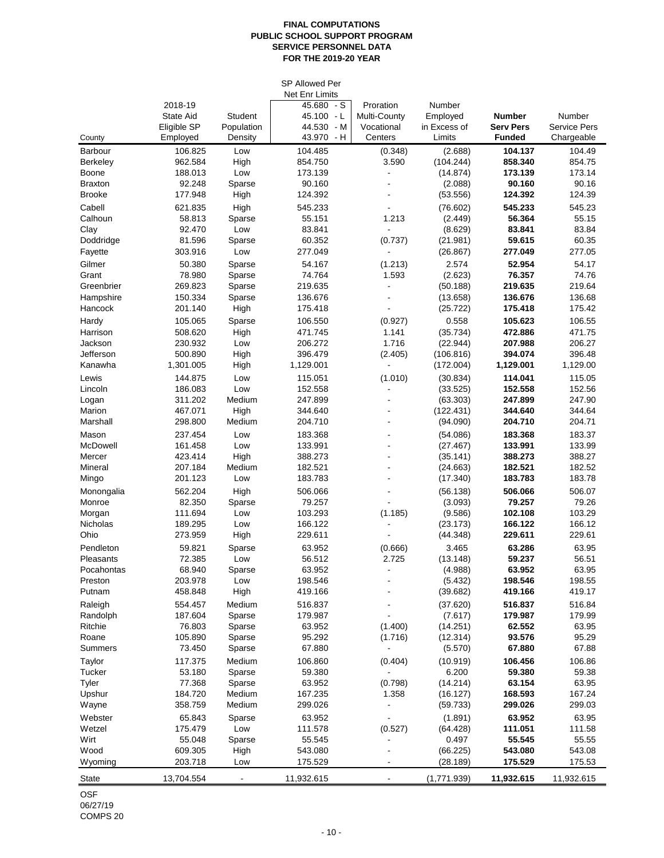# **FINAL COMPUTATIONS PUBLIC SCHOOL SUPPORT PROGRAM SERVICE PERSONNEL DATA FOR THE 2019-20 YEAR**

|                    |                         |                       | <b>SP Allowed Per</b>       |                       |                        |                                   |                                   |
|--------------------|-------------------------|-----------------------|-----------------------------|-----------------------|------------------------|-----------------------------------|-----------------------------------|
|                    |                         |                       | <b>Net Enr Limits</b>       |                       |                        |                                   |                                   |
|                    | 2018-19                 |                       | 45.680<br>$-S$              | Proration             | Number                 |                                   |                                   |
|                    | <b>State Aid</b>        | <b>Student</b>        | 45.100 - L                  | Multi-County          | Employed               | <b>Number</b>                     | Number                            |
| County             | Eligible SP<br>Employed | Population<br>Density | 44.530<br>- M<br>43.970 - H | Vocational<br>Centers | in Excess of<br>Limits | <b>Serv Pers</b><br><b>Funded</b> | <b>Service Pers</b><br>Chargeable |
| <b>Barbour</b>     | 106.825                 | Low                   | 104.485                     | (0.348)               | (2.688)                | 104.137                           | 104.49                            |
| <b>Berkeley</b>    | 962.584                 | High                  | 854.750                     | 3.590                 | (104.244)              | 858.340                           | 854.75                            |
| Boone              | 188.013                 | Low                   | 173.139                     |                       | (14.874)               | 173.139                           | 173.14                            |
| <b>Braxton</b>     | 92.248                  | Sparse                | 90.160                      |                       | (2.088)                | 90.160                            | 90.16                             |
| <b>Brooke</b>      | 177.948                 | High                  | 124.392                     |                       | (53.556)               | 124.392                           | 124.39                            |
| Cabell             | 621.835                 | High                  | 545.233                     |                       | (76.602)               | 545.233                           | 545.23                            |
| Calhoun            | 58.813                  | Sparse                | 55.151                      | 1.213                 | (2.449)                | 56.364                            | 55.15                             |
| Clay               | 92.470                  | Low                   | 83.841                      |                       | (8.629)                | 83.841                            | 83.84                             |
| Doddridge          | 81.596                  | Sparse                | 60.352                      | (0.737)               | (21.981)               | 59.615                            | 60.35                             |
| Fayette            | 303.916                 | Low                   | 277.049                     |                       | (26.867)               | 277.049                           | 277.05                            |
| Gilmer             | 50.380                  | Sparse                | 54.167                      | (1.213)               | 2.574                  | 52.954                            | 54.17                             |
| Grant              | 78.980                  | Sparse                | 74.764                      | 1.593                 | (2.623)                | 76.357                            | 74.76                             |
| Greenbrier         | 269.823                 | Sparse                | 219.635                     |                       | (50.188)               | 219.635                           | 219.64                            |
| Hampshire          | 150.334                 | Sparse                | 136.676                     |                       | (13.658)               | 136.676                           | 136.68                            |
| Hancock            | 201.140                 | High                  | 175.418                     |                       | (25.722)               | 175.418                           | 175.42                            |
| Hardy              | 105.065                 | Sparse                | 106.550                     | (0.927)               | 0.558                  | 105.623                           | 106.55                            |
| Harrison           | 508.620                 | High                  | 471.745                     | 1.141                 | (35.734)               | 472.886                           | 471.75                            |
| Jackson            | 230.932                 | Low                   | 206.272                     | 1.716                 | (22.944)               | 207.988                           | 206.27                            |
| Jefferson          | 500.890                 | High                  | 396.479                     | (2.405)               | (106.816)              | 394.074                           | 396.48                            |
| Kanawha            | 1,301.005               | High                  | 1,129.001                   |                       | (172.004)              | 1,129.001                         | 1,129.00                          |
| Lewis              | 144.875                 | Low                   | 115.051                     | (1.010)               | (30.834)               | 114.041                           | 115.05                            |
| Lincoln            | 186.083                 | Low                   | 152.558                     |                       | (33.525)               | 152.558                           | 152.56                            |
| Logan              | 311.202                 | Medium                | 247.899                     |                       | (63.303)               | 247.899                           | 247.90                            |
| Marion<br>Marshall | 467.071<br>298.800      | High<br>Medium        | 344.640<br>204.710          |                       | (122.431)<br>(94.090)  | 344.640<br>204.710                | 344.64<br>204.71                  |
|                    |                         |                       |                             |                       |                        |                                   |                                   |
| Mason<br>McDowell  | 237.454<br>161.458      | Low                   | 183.368<br>133.991          |                       | (54.086)               | 183.368                           | 183.37<br>133.99                  |
| Mercer             | 423.414                 | Low<br>High           | 388.273                     |                       | (27.467)<br>(35.141)   | 133.991<br>388.273                | 388.27                            |
| Mineral            | 207.184                 | Medium                | 182.521                     |                       | (24.663)               | 182.521                           | 182.52                            |
| Mingo              | 201.123                 | Low                   | 183.783                     |                       | (17.340)               | 183.783                           | 183.78                            |
| Monongalia         | 562.204                 | High                  | 506.066                     |                       | (56.138)               | 506.066                           | 506.07                            |
| Monroe             | 82.350                  | Sparse                | 79.257                      |                       | (3.093)                | 79.257                            | 79.26                             |
| Morgan             | 111.694                 | Low                   | 103.293                     | (1.185)               | (9.586)                | 102.108                           | 103.29                            |
| Nicholas           | 189.295                 | Low                   | 166.122                     |                       | (23.173)               | 166.122                           | 166.12                            |
| Ohio               | 273.959                 | High                  | 229.611                     |                       | (44.348)               | 229.611                           | 229.61                            |
| Pendleton          | 59.821                  | Sparse                | 63.952                      | (0.666)               | 3.465                  | 63.286                            | 63.95                             |
| Pleasants          | 72.385                  | Low                   | 56.512                      | 2.725                 | (13.148)               | 59.237                            | 56.51                             |
| Pocahontas         | 68.940                  | Sparse                | 63.952                      |                       | (4.988)                | 63.952                            | 63.95                             |
| Preston            | 203.978                 | Low                   | 198.546                     |                       | (5.432)                | 198.546                           | 198.55                            |
| Putnam             | 458.848                 | High                  | 419.166                     |                       | (39.682)               | 419.166                           | 419.17                            |
| Raleigh            | 554.457                 | Medium                | 516.837                     |                       | (37.620)               | 516.837                           | 516.84                            |
| Randolph           | 187.604                 | Sparse                | 179.987                     |                       | (7.617)                | 179.987                           | 179.99                            |
| Ritchie            | 76.803                  | Sparse                | 63.952                      | (1.400)               | (14.251)               | 62.552                            | 63.95                             |
| Roane              | 105.890                 | Sparse                | 95.292                      | (1.716)               | (12.314)               | 93.576                            | 95.29                             |
| <b>Summers</b>     | 73.450                  | Sparse                | 67.880                      |                       | (5.570)                | 67.880                            | 67.88                             |
| Taylor             | 117.375                 | Medium                | 106.860                     | (0.404)               | (10.919)               | 106.456                           | 106.86                            |
| Tucker             | 53.180                  | Sparse                | 59.380                      |                       | 6.200                  | 59.380                            | 59.38                             |
| <b>Tyler</b>       | 77.368                  | Sparse                | 63.952                      | (0.798)               | (14.214)               | 63.154                            | 63.95                             |
| Upshur             | 184.720                 | Medium                | 167.235<br>299.026          | 1.358                 | (16.127)               | 168.593<br>299.026                | 167.24<br>299.03                  |
| Wayne              | 358.759                 | Medium                |                             |                       | (59.733)               |                                   |                                   |
| Webster            | 65.843                  | Sparse                | 63.952                      |                       | (1.891)                | 63.952                            | 63.95                             |
| Wetzel<br>Wirt     | 175.479<br>55.048       | Low                   | 111.578<br>55.545           | (0.527)               | (64.428)<br>0.497      | 111.051<br>55.545                 | 111.58<br>55.55                   |
| Wood               | 609.305                 | Sparse<br>High        | 543.080                     |                       | (66.225)               | 543.080                           | 543.08                            |
| Wyoming            | 203.718                 | Low                   | 175.529                     |                       | (28.189)               | 175.529                           | 175.53                            |
|                    |                         |                       |                             |                       |                        |                                   |                                   |
| <b>State</b>       | 13,704.554              |                       | 11,932.615                  |                       | (1,771.939)            | 11,932.615                        | 11,932.615                        |

OSF 06/27/19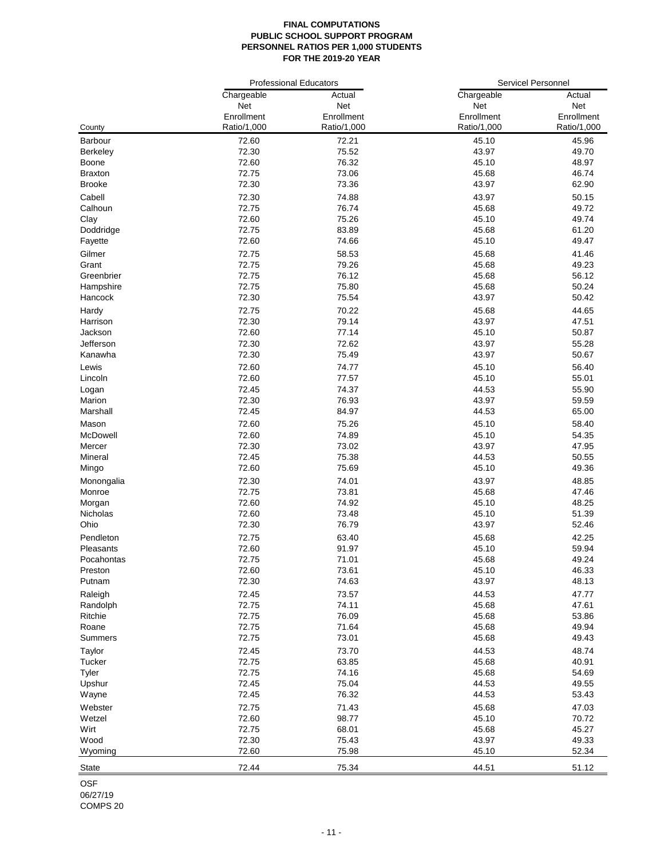# **FINAL COMPUTATIONS PUBLIC SCHOOL SUPPORT PROGRAM PERSONNEL RATIOS PER 1,000 STUDENTS FOR THE 2019-20 YEAR**

|                 | <b>Professional Educators</b> |             | <b>Servicel Personnel</b> |             |
|-----------------|-------------------------------|-------------|---------------------------|-------------|
|                 | Chargeable                    | Actual      | Chargeable                | Actual      |
|                 | Net                           | Net         | Net                       | <b>Net</b>  |
|                 | Enrollment                    | Enrollment  | Enrollment                | Enrollment  |
| County          | Ratio/1,000                   | Ratio/1,000 | Ratio/1,000               | Ratio/1,000 |
| <b>Barbour</b>  | 72.60                         | 72.21       | 45.10                     | 45.96       |
| <b>Berkeley</b> | 72.30                         | 75.52       | 43.97                     | 49.70       |
| <b>Boone</b>    | 72.60                         | 76.32       | 45.10                     | 48.97       |
| <b>Braxton</b>  | 72.75                         | 73.06       | 45.68                     | 46.74       |
| <b>Brooke</b>   | 72.30                         | 73.36       | 43.97                     | 62.90       |
| Cabell          | 72.30                         | 74.88       | 43.97                     | 50.15       |
| Calhoun         | 72.75                         | 76.74       | 45.68                     | 49.72       |
| Clay            | 72.60                         | 75.26       | 45.10                     | 49.74       |
| Doddridge       | 72.75                         | 83.89       | 45.68                     | 61.20       |
| Fayette         | 72.60                         | 74.66       | 45.10                     | 49.47       |
|                 |                               |             |                           |             |
| Gilmer          | 72.75                         | 58.53       | 45.68                     | 41.46       |
| Grant           | 72.75                         | 79.26       | 45.68                     | 49.23       |
| Greenbrier      | 72.75                         | 76.12       | 45.68                     | 56.12       |
| Hampshire       | 72.75                         | 75.80       | 45.68                     | 50.24       |
| Hancock         | 72.30                         | 75.54       | 43.97                     | 50.42       |
| Hardy           | 72.75                         | 70.22       | 45.68                     | 44.65       |
| Harrison        | 72.30                         | 79.14       | 43.97                     | 47.51       |
| Jackson         | 72.60                         | 77.14       | 45.10                     | 50.87       |
| Jefferson       | 72.30                         | 72.62       | 43.97                     | 55.28       |
| Kanawha         | 72.30                         | 75.49       | 43.97                     | 50.67       |
| Lewis           | 72.60                         | 74.77       | 45.10                     | 56.40       |
| Lincoln         | 72.60                         | 77.57       | 45.10                     | 55.01       |
| Logan           | 72.45                         | 74.37       | 44.53                     | 55.90       |
| Marion          | 72.30                         | 76.93       | 43.97                     | 59.59       |
| Marshall        | 72.45                         | 84.97       | 44.53                     | 65.00       |
| Mason           | 72.60                         | 75.26       | 45.10                     | 58.40       |
| McDowell        | 72.60                         | 74.89       | 45.10                     | 54.35       |
| Mercer          | 72.30                         | 73.02       | 43.97                     | 47.95       |
| Mineral         | 72.45                         | 75.38       | 44.53                     | 50.55       |
| Mingo           | 72.60                         | 75.69       | 45.10                     | 49.36       |
| Monongalia      | 72.30                         | 74.01       | 43.97                     | 48.85       |
| Monroe          | 72.75                         | 73.81       | 45.68                     | 47.46       |
| Morgan          | 72.60                         | 74.92       | 45.10                     | 48.25       |
| Nicholas        | 72.60                         | 73.48       | 45.10                     | 51.39       |
| Ohio            | 72.30                         | 76.79       | 43.97                     | 52.46       |
| Pendleton       | 72.75                         | 63.40       | 45.68                     | 42.25       |
| Pleasants       | 72.60                         | 91.97       | 45.10                     | 59.94       |
| Pocahontas      | 72.75                         | 71.01       | 45.68                     | 49.24       |
| Preston         | 72.60                         | 73.61       | 45.10                     | 46.33       |
| Putnam          | 72.30                         | 74.63       | 43.97                     | 48.13       |
| Raleigh         | 72.45                         | 73.57       | 44.53                     | 47.77       |
| Randolph        | 72.75                         | 74.11       | 45.68                     | 47.61       |
| Ritchie         | 72.75                         | 76.09       | 45.68                     | 53.86       |
| Roane           | 72.75                         | 71.64       | 45.68                     | 49.94       |
| <b>Summers</b>  | 72.75                         | 73.01       | 45.68                     | 49.43       |
|                 |                               |             |                           |             |
| Taylor          | 72.45                         | 73.70       | 44.53                     | 48.74       |
| Tucker          | 72.75                         | 63.85       | 45.68                     | 40.91       |
| <b>Tyler</b>    | 72.75                         | 74.16       | 45.68                     | 54.69       |
| Upshur          | 72.45                         | 75.04       | 44.53                     | 49.55       |
| Wayne           | 72.45                         | 76.32       | 44.53                     | 53.43       |
| Webster         | 72.75                         | 71.43       | 45.68                     | 47.03       |
| Wetzel          | 72.60                         | 98.77       | 45.10                     | 70.72       |
| Wirt            | 72.75                         | 68.01       | 45.68                     | 45.27       |
| Wood            | 72.30                         | 75.43       | 43.97                     | 49.33       |
| Wyoming         | 72.60                         | 75.98       | 45.10                     | 52.34       |
| <b>State</b>    | 72.44                         | 75.34       | 44.51                     | 51.12       |
|                 |                               |             |                           |             |

OSF 06/27/19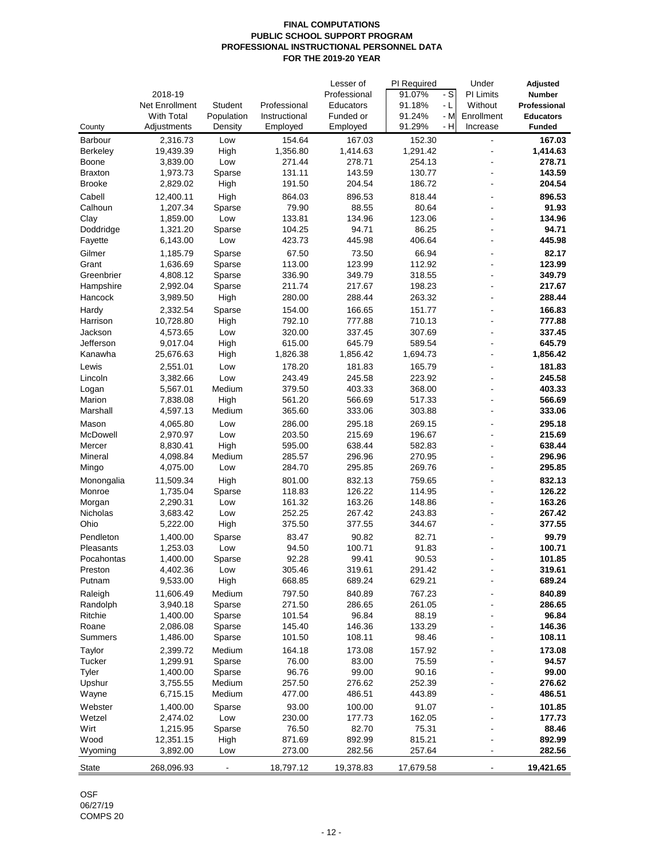# **FINAL COMPUTATIONS PUBLIC SCHOOL SUPPORT PROGRAM PROFESSIONAL INSTRUCTIONAL PERSONNEL DATA FOR THE 2019-20 YEAR**

|                 |                   |                  |               | Lesser of        | PI Required    | Under                    | <b>Adjusted</b>  |
|-----------------|-------------------|------------------|---------------|------------------|----------------|--------------------------|------------------|
|                 | 2018-19           |                  |               | Professional     | $-S$<br>91.07% | <b>PI Limits</b>         | <b>Number</b>    |
|                 | Net Enrollment    | <b>Student</b>   | Professional  | <b>Educators</b> | 91.18%<br>- L  | Without                  | Professional     |
|                 | <b>With Total</b> | Population       | Instructional | Funded or        | 91.24%<br>- M  | Enrollment               | <b>Educators</b> |
| County          | Adjustments       | Density          | Employed      | Employed         | - H<br>91.29%  | Increase                 | <b>Funded</b>    |
| <b>Barbour</b>  | 2,316.73          | Low              | 154.64        | 167.03           | 152.30         | $\overline{\phantom{a}}$ | 167.03           |
| <b>Berkeley</b> | 19,439.39         | High             | 1,356.80      | 1,414.63         | 1,291.42       |                          | 1,414.63         |
| <b>Boone</b>    | 3,839.00          | Low              | 271.44        | 278.71           | 254.13         |                          | 278.71           |
| <b>Braxton</b>  | 1,973.73          | Sparse           | 131.11        | 143.59           | 130.77         | $\blacksquare$           | 143.59           |
| <b>Brooke</b>   | 2,829.02          | High             | 191.50        | 204.54           | 186.72         |                          | 204.54           |
| Cabell          | 12,400.11         | High             | 864.03        | 896.53           | 818.44         |                          | 896.53           |
| Calhoun         | 1,207.34          | Sparse           | 79.90         | 88.55            | 80.64          |                          | 91.93            |
| Clay            | 1,859.00          | Low              | 133.81        | 134.96           | 123.06         |                          | 134.96           |
| Doddridge       | 1,321.20          | Sparse           | 104.25        | 94.71            | 86.25          |                          | 94.71            |
| Fayette         | 6,143.00          | Low              | 423.73        | 445.98           | 406.64         | $\blacksquare$           | 445.98           |
| Gilmer          | 1,185.79          |                  | 67.50         | 73.50            | 66.94          |                          | 82.17            |
| Grant           | 1,636.69          | Sparse           | 113.00        | 123.99           | 112.92         |                          | 123.99           |
| Greenbrier      | 4,808.12          | Sparse<br>Sparse | 336.90        | 349.79           | 318.55         | $\blacksquare$           | 349.79           |
| Hampshire       |                   |                  | 211.74        | 217.67           | 198.23         |                          | 217.67           |
|                 | 2,992.04          | Sparse           |               |                  |                |                          | 288.44           |
| Hancock         | 3,989.50          | High             | 280.00        | 288.44           | 263.32         | $\overline{\phantom{a}}$ |                  |
| Hardy           | 2,332.54          | Sparse           | 154.00        | 166.65           | 151.77         |                          | 166.83           |
| Harrison        | 10,728.80         | High             | 792.10        | 777.88           | 710.13         |                          | 777.88           |
| Jackson         | 4,573.65          | Low              | 320.00        | 337.45           | 307.69         | $\overline{\phantom{a}}$ | 337.45           |
| Jefferson       | 9,017.04          | High             | 615.00        | 645.79           | 589.54         | $\overline{\phantom{a}}$ | 645.79           |
| Kanawha         | 25,676.63         | High             | 1,826.38      | 1,856.42         | 1,694.73       |                          | 1,856.42         |
| Lewis           | 2,551.01          | Low              | 178.20        | 181.83           | 165.79         | $\blacksquare$           | 181.83           |
| Lincoln         | 3,382.66          | Low              | 243.49        | 245.58           | 223.92         |                          | 245.58           |
| Logan           | 5,567.01          | Medium           | 379.50        | 403.33           | 368.00         | $\blacksquare$           | 403.33           |
| Marion          | 7,838.08          | High             | 561.20        | 566.69           | 517.33         | $\blacksquare$           | 566.69           |
| Marshall        | 4,597.13          | Medium           | 365.60        | 333.06           | 303.88         |                          | 333.06           |
| Mason           | 4,065.80          | Low              | 286.00        | 295.18           | 269.15         |                          | 295.18           |
| McDowell        | 2,970.97          | Low              | 203.50        | 215.69           | 196.67         |                          | 215.69           |
| Mercer          | 8,830.41          | High             | 595.00        | 638.44           | 582.83         |                          | 638.44           |
| Mineral         | 4,098.84          | Medium           | 285.57        | 296.96           | 270.95         |                          | 296.96           |
| Mingo           | 4,075.00          | Low              | 284.70        | 295.85           | 269.76         |                          | 295.85           |
| Monongalia      | 11,509.34         | High             | 801.00        | 832.13           | 759.65         |                          | 832.13           |
| Monroe          | 1,735.04          | Sparse           | 118.83        | 126.22           | 114.95         |                          | 126.22           |
| Morgan          | 2,290.31          | Low              | 161.32        | 163.26           | 148.86         |                          | 163.26           |
| <b>Nicholas</b> | 3,683.42          | Low              | 252.25        | 267.42           | 243.83         |                          | 267.42           |
| Ohio            | 5,222.00          | High             | 375.50        | 377.55           | 344.67         |                          | 377.55           |
| Pendleton       | 1,400.00          | Sparse           | 83.47         | 90.82            | 82.71          |                          | 99.79            |
| Pleasants       | 1,253.03          | Low              | 94.50         | 100.71           | 91.83          |                          | 100.71           |
| Pocahontas      | 1,400.00          | Sparse           | 92.28         | 99.41            | 90.53          |                          | 101.85           |
| Preston         | 4,402.36          | Low              | 305.46        | 319.61           | 291.42         |                          | 319.61           |
| Putnam          | 9,533.00          | High             | 668.85        | 689.24           | 629.21         |                          | 689.24           |
|                 |                   |                  |               |                  |                |                          |                  |
| Raleigh         | 11,606.49         | Medium           | 797.50        | 840.89           | 767.23         |                          | 840.89           |
| Randolph        | 3,940.18          | Sparse           | 271.50        | 286.65           | 261.05         |                          | 286.65           |
| Ritchie         | 1,400.00          | Sparse           | 101.54        | 96.84            | 88.19          |                          | 96.84            |
| Roane           | 2,086.08          | Sparse           | 145.40        | 146.36           | 133.29         |                          | 146.36           |
| <b>Summers</b>  | 1,486.00          | Sparse           | 101.50        | 108.11           | 98.46          |                          | 108.11           |
| Taylor          | 2,399.72          | Medium           | 164.18        | 173.08           | 157.92         |                          | 173.08           |
| Tucker          | 1,299.91          | Sparse           | 76.00         | 83.00            | 75.59          |                          | 94.57            |
| <b>Tyler</b>    | 1,400.00          | Sparse           | 96.76         | 99.00            | 90.16          |                          | 99.00            |
| Upshur          | 3,755.55          | Medium           | 257.50        | 276.62           | 252.39         |                          | 276.62           |
| Wayne           | 6,715.15          | Medium           | 477.00        | 486.51           | 443.89         |                          | 486.51           |
| Webster         | 1,400.00          | Sparse           | 93.00         | 100.00           | 91.07          |                          | 101.85           |
| Wetzel          | 2,474.02          | Low              | 230.00        | 177.73           | 162.05         |                          | 177.73           |
| Wirt            | 1,215.95          | Sparse           | 76.50         | 82.70            | 75.31          |                          | 88.46            |
| Wood            | 12,351.15         | High             | 871.69        | 892.99           | 815.21         |                          | 892.99           |
| Wyoming         | 3,892.00          | Low              | 273.00        | 282.56           | 257.64         | $\blacksquare$           | 282.56           |
| <b>State</b>    | 268,096.93        |                  | 18,797.12     | 19,378.83        | 17,679.58      |                          | 19,421.65        |

OSF 06/27/19 COMPS 20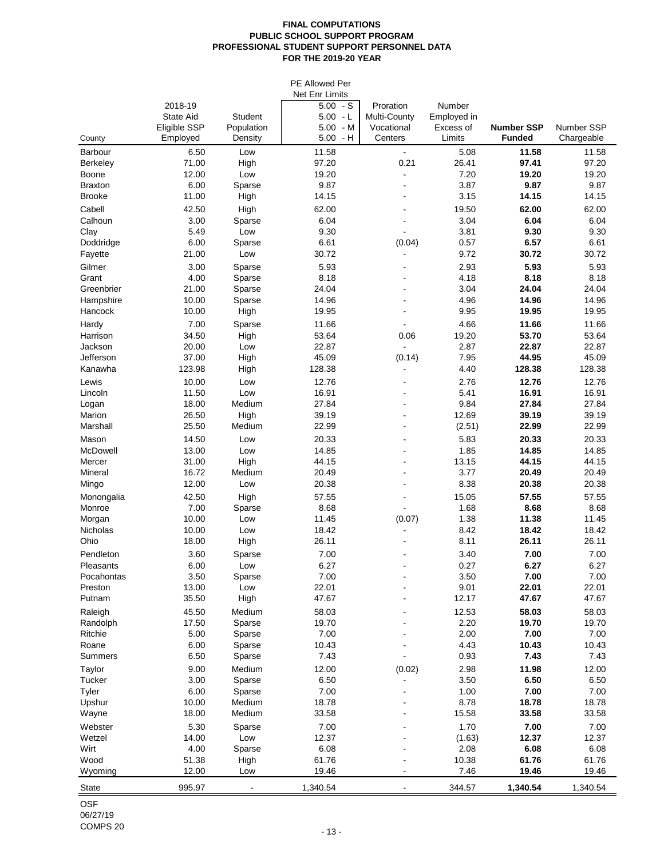### **FINAL COMPUTATIONS PUBLIC SCHOOL SUPPORT PROGRAM PROFESSIONAL STUDENT SUPPORT PERSONNEL DATA FOR THE 2019-20 YEAR**

| PE Allowed Per          |                          |                       |                          |                           |                       |                                    |                                 |  |  |  |
|-------------------------|--------------------------|-----------------------|--------------------------|---------------------------|-----------------------|------------------------------------|---------------------------------|--|--|--|
|                         | <b>Net Enr Limits</b>    |                       |                          |                           |                       |                                    |                                 |  |  |  |
|                         | 2018-19                  |                       | $5.00 - S$               | Proration<br>Multi-County | Number<br>Employed in |                                    |                                 |  |  |  |
|                         | <b>State Aid</b>         | <b>Student</b>        | $5.00 - L$               |                           |                       |                                    |                                 |  |  |  |
| County                  | Eligible SSP<br>Employed | Population<br>Density | $5.00 - M$<br>$5.00 - H$ | Vocational<br>Centers     | Excess of<br>Limits   | <b>Number SSP</b><br><b>Funded</b> | <b>Number SSP</b><br>Chargeable |  |  |  |
| <b>Barbour</b>          | 6.50                     | Low                   | 11.58                    | $\blacksquare$            | 5.08                  | 11.58                              | 11.58                           |  |  |  |
| <b>Berkeley</b>         | 71.00                    | High                  | 97.20                    | 0.21                      | 26.41                 | 97.41                              | 97.20                           |  |  |  |
| Boone                   | 12.00                    | Low                   | 19.20                    |                           | 7.20                  | 19.20                              | 19.20                           |  |  |  |
| <b>Braxton</b>          | 6.00                     | Sparse                | 9.87                     |                           | 3.87                  | 9.87                               | 9.87                            |  |  |  |
| <b>Brooke</b>           | 11.00                    | High                  | 14.15                    |                           | 3.15                  | 14.15                              | 14.15                           |  |  |  |
| Cabell                  | 42.50                    | High                  | 62.00                    |                           | 19.50                 | 62.00                              | 62.00                           |  |  |  |
| Calhoun                 | 3.00                     | Sparse                | 6.04                     |                           | 3.04                  | 6.04                               | 6.04                            |  |  |  |
| Clay                    | 5.49                     | Low                   | 9.30                     |                           | 3.81                  | 9.30                               | 9.30                            |  |  |  |
| Doddridge               | 6.00                     | Sparse                | 6.61                     | (0.04)                    | 0.57                  | 6.57                               | 6.61                            |  |  |  |
| Fayette                 | 21.00                    | Low                   | 30.72                    |                           | 9.72                  | 30.72                              | 30.72                           |  |  |  |
| Gilmer                  | 3.00                     | Sparse                | 5.93                     | $\blacksquare$            | 2.93                  | 5.93                               | 5.93                            |  |  |  |
| Grant                   | 4.00                     | Sparse                | 8.18                     |                           | 4.18                  | 8.18                               | 8.18                            |  |  |  |
| Greenbrier              | 21.00                    | Sparse                | 24.04                    |                           | 3.04                  | 24.04                              | 24.04                           |  |  |  |
| Hampshire               | 10.00                    | Sparse                | 14.96                    |                           | 4.96                  | 14.96                              | 14.96                           |  |  |  |
| Hancock                 | 10.00                    | High                  | 19.95                    |                           | 9.95                  | 19.95                              | 19.95                           |  |  |  |
| Hardy                   | 7.00                     | Sparse                | 11.66                    |                           | 4.66                  | 11.66                              | 11.66                           |  |  |  |
| Harrison                | 34.50                    | High                  | 53.64                    | 0.06                      | 19.20                 | 53.70                              | 53.64                           |  |  |  |
| Jackson                 | 20.00                    | Low                   | 22.87                    |                           | 2.87                  | 22.87                              | 22.87                           |  |  |  |
| Jefferson               | 37.00                    | High                  | 45.09                    | (0.14)                    | 7.95                  | 44.95                              | 45.09                           |  |  |  |
| Kanawha                 | 123.98                   | High                  | 128.38                   |                           | 4.40                  | 128.38                             | 128.38                          |  |  |  |
| Lewis                   | 10.00                    | Low                   | 12.76                    | $\overline{\phantom{a}}$  | 2.76                  | 12.76                              | 12.76                           |  |  |  |
| Lincoln                 | 11.50                    | Low                   | 16.91                    |                           | 5.41                  | 16.91                              | 16.91                           |  |  |  |
| Logan                   | 18.00                    | Medium                | 27.84                    |                           | 9.84                  | 27.84                              | 27.84                           |  |  |  |
| Marion                  | 26.50                    | High                  | 39.19                    |                           | 12.69                 | 39.19                              | 39.19                           |  |  |  |
| Marshall                | 25.50                    | Medium                | 22.99                    |                           | (2.51)                | 22.99                              | 22.99                           |  |  |  |
| Mason                   | 14.50                    | Low                   | 20.33                    |                           | 5.83                  | 20.33                              | 20.33                           |  |  |  |
| McDowell                | 13.00                    | Low                   | 14.85                    |                           | 1.85                  | 14.85                              | 14.85                           |  |  |  |
| Mercer                  | 31.00                    | High                  | 44.15                    |                           | 13.15                 | 44.15                              | 44.15                           |  |  |  |
| Mineral                 | 16.72                    | Medium                | 20.49                    |                           | 3.77                  | 20.49                              | 20.49                           |  |  |  |
| Mingo                   | 12.00                    | Low                   | 20.38                    |                           | 8.38                  | 20.38                              | 20.38                           |  |  |  |
| Monongalia              | 42.50                    | High                  | 57.55                    |                           | 15.05                 | 57.55                              | 57.55                           |  |  |  |
| Monroe                  | 7.00                     | Sparse                | 8.68                     |                           | 1.68                  | 8.68                               | 8.68                            |  |  |  |
| Morgan                  | 10.00                    | Low                   | 11.45                    | (0.07)                    | 1.38                  | 11.38                              | 11.45                           |  |  |  |
| Nicholas                | 10.00<br>18.00           | Low                   | 18.42<br>26.11           |                           | 8.42                  | 18.42<br>26.11                     | 18.42                           |  |  |  |
| Ohio                    |                          | High                  |                          |                           | 8.11                  |                                    | 26.11                           |  |  |  |
| Pendleton               | 3.60                     | Sparse                | 7.00                     |                           | 3.40                  | 7.00                               | 7.00                            |  |  |  |
| Pleasants<br>Pocahontas | 6.00<br>3.50             | Low                   | 6.27                     |                           | 0.27                  | 6.27                               | 6.27                            |  |  |  |
| Preston                 | 13.00                    | Sparse<br>Low         | 7.00<br>22.01            |                           | 3.50<br>9.01          | 7.00<br>22.01                      | 7.00<br>22.01                   |  |  |  |
| Putnam                  | 35.50                    | High                  | 47.67                    |                           | 12.17                 | 47.67                              | 47.67                           |  |  |  |
|                         | 45.50                    | Medium                | 58.03                    |                           | 12.53                 | 58.03                              | 58.03                           |  |  |  |
| Raleigh<br>Randolph     | 17.50                    | Sparse                | 19.70                    |                           | 2.20                  | 19.70                              | 19.70                           |  |  |  |
| Ritchie                 | 5.00                     | Sparse                | 7.00                     |                           | 2.00                  | 7.00                               | 7.00                            |  |  |  |
| Roane                   | 6.00                     | Sparse                | 10.43                    |                           | 4.43                  | 10.43                              | 10.43                           |  |  |  |
| <b>Summers</b>          | 6.50                     | Sparse                | 7.43                     |                           | 0.93                  | 7.43                               | 7.43                            |  |  |  |
| Taylor                  | 9.00                     | Medium                | 12.00                    | (0.02)                    | 2.98                  | 11.98                              | 12.00                           |  |  |  |
| <b>Tucker</b>           | 3.00                     | Sparse                | 6.50                     |                           | 3.50                  | 6.50                               | 6.50                            |  |  |  |
| Tyler                   | 6.00                     | Sparse                | 7.00                     |                           | 1.00                  | 7.00                               | 7.00                            |  |  |  |
| Upshur                  | 10.00                    | Medium                | 18.78                    |                           | 8.78                  | 18.78                              | 18.78                           |  |  |  |
| Wayne                   | 18.00                    | Medium                | 33.58                    |                           | 15.58                 | 33.58                              | 33.58                           |  |  |  |
| Webster                 | 5.30                     | Sparse                | 7.00                     |                           | 1.70                  | 7.00                               | 7.00                            |  |  |  |
| Wetzel                  | 14.00                    | Low                   | 12.37                    |                           | (1.63)                | 12.37                              | 12.37                           |  |  |  |
| Wirt                    | 4.00                     | Sparse                | 6.08                     |                           | 2.08                  | 6.08                               | 6.08                            |  |  |  |
| Wood                    | 51.38                    | High                  | 61.76                    |                           | 10.38                 | 61.76                              | 61.76                           |  |  |  |
| Wyoming                 | 12.00                    | Low                   | 19.46                    |                           | 7.46                  | 19.46                              | 19.46                           |  |  |  |
| <b>State</b>            | 995.97                   |                       | 1,340.54                 |                           | 344.57                | 1,340.54                           | 1,340.54                        |  |  |  |
|                         |                          |                       |                          |                           |                       |                                    |                                 |  |  |  |